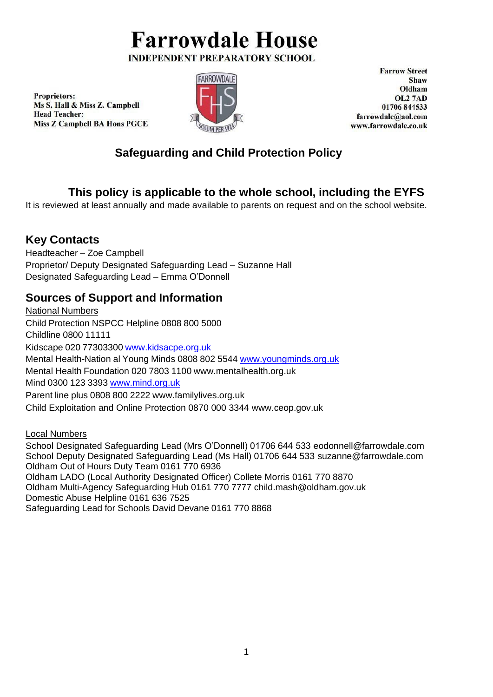# **Farrowdale House**

**INDEPENDENT PREPARATORY SCHOOL** 

**Proprietors:** Ms S. Hall & Miss Z. Campbell **Head Teacher: Miss Z Campbell BA Hons PGCE** 



**Farrow Street Shaw** Oldham **OL2 7AD** 01706 844533 farrowdale@aol.com www.farrowdale.co.uk

# **Safeguarding and Child Protection Policy**

# **This policy is applicable to the whole school, including the EYFS**

It is reviewed at least annually and made available to parents on request and on the school website.

# **Key Contacts**

Headteacher – Zoe Campbell Proprietor/ Deputy Designated Safeguarding Lead – Suzanne Hall Designated Safeguarding Lead – Emma O'Donnell

# **Sources of Support and Information**

National Numbers Child Protection NSPCC Helpline 0808 800 5000 Childline 0800 11111 Kidscape 020 77303300 [www.kidsacpe.org.uk](http://www.kidsacpe.org.uk/) Mental Health-Nation al Young Minds 0808 802 5544 [www.youngminds.org.uk](http://www.youngminds.org.uk/) Mental Health Foundation 020 7803 1100 [www.mentalhealth.org.uk](http://www.mentalhealth.org.uk/) Mind 0300 123 3393 [www.mind.org.uk](http://www.mind.org.uk/) Parent line plus 0808 800 2222 [www.familylives.org.uk](http://www.familylives.org.uk/) Child Exploitation and Online Protection 0870 000 3344 [www.ceop.gov.uk](http://www.ceop.gov.uk/)

Local Numbers

School Designated Safeguarding Lead (Mrs O'Donnell) 01706 644 533 eodonnell@farrowdale.com School Deputy Designated Safeguarding Lead (Ms Hall) 01706 644 533 suzanne@farrowdale.com Oldham Out of Hours Duty Team 0161 770 6936 Oldham LADO (Local Authority Designated Officer) Collete Morris 0161 770 8870 Oldham Multi-Agency Safeguarding Hub 0161 770 7777 [child.mash@oldham.gov.uk](mailto:child.mash@oldham.gov.uk) Domestic Abuse Helpline 0161 636 7525 Safeguarding Lead for Schools David Devane 0161 770 8868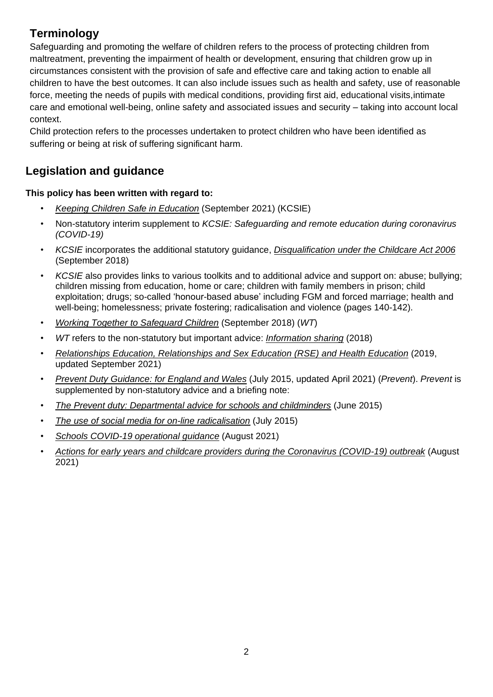# **Terminology**

Safeguarding and promoting the welfare of children refers to the process of protecting children from maltreatment, preventing the impairment of health or development, ensuring that children grow up in circumstances consistent with the provision of safe and effective care and taking action to enable all children to have the best outcomes. It can also include issues such as health and safety, use of reasonable force, meeting the needs of pupils with medical conditions, providing first aid, educational visits,intimate care and emotional well-being, online safety and associated issues and security – taking into account local context.

Child protection refers to the processes undertaken to protect children who have been identified as suffering or being at risk of suffering significant harm.

# **Legislation and guidance**

# **This policy has been written with regard to:**

- *Keeping Children Safe in [Education](https://www.gov.uk/government/publications/keeping-children-safe-in-education--2)* (September 2021) (KCSIE)
- Non-statutory interim supplement to *KCSIE: [Safeguarding](https://www.gov.uk/guidance/safeguarding-and-remote-education-during-coronavirus-covid-19#communicating-with-parents-carers-and-pupils) and remote education during coronavirus [\(COVID-19\)](https://www.gov.uk/guidance/safeguarding-and-remote-education-during-coronavirus-covid-19#communicating-with-parents-carers-and-pupils)*
- *KCSIE* incorporates the additional statutory guidance, *[Disqualification](https://www.gov.uk/government/publications/disqualification-under-the-childcare-act-2006) under the Childcare Act 2006* (September 2018)
- *KCSIE* also provides links to various toolkits and to additional advice and support on: abuse; bullying; children missing from education, home or care; children with family members in prison; child exploitation; drugs; so-called 'honour-based abuse' including FGM and forced marriage; health and well-being; homelessness; private fostering; radicalisation and violence (pages 140-142).
- *Working Together to [Safeguard](https://www.gov.uk/government/publications/working-together-to-safeguard-children--2) Children* (September 2018) (*WT*)
- *WT* refers to the non-statutory but important advice: *[Information](https://www.gov.uk/government/publications/safeguarding-practitioners-information-sharing-advice) sharing* (2018)
- *[Relationships](https://assets.publishing.service.gov.uk/government/uploads/system/uploads/attachment_data/file/908013/Relationships_Education__Relationships_and_Sex_Education__RSE__and_Health_Education.pdf) Education, Relationships and Sex Education (RSE) and Health Education* (2019, updated September 2021)
- *Prevent Duty [Guidance:](https://www.gov.uk/government/publications/prevent-duty-guidance) for England and Wales* (July 2015, updated April 2021) (*Prevent*). *Prevent* is supplemented by non-statutory advice and a briefing note:
- *The Prevent duty: [Departmental](https://www.gov.uk/government/publications/protecting-children-from-radicalisation-the-prevent-duty) advice for schools and childminders* (June 2015)
- *The use of social media for on-line [radicalisation](https://www.gov.uk/government/publications/the-use-of-social-media-for-online-radicalisation)* (July 2015)
- *Schools COVID-19 [operational](https://www.gov.uk/government/publications/actions-for-schools-during-the-coronavirus-outbreak/schools-covid-19-operational-guidance) guidance* (August 2021)
- *Actions for early years and childcare providers during the [Coronavirus](https://www.gov.uk/government/publications/coronavirus-covid-19-early-years-and-childcare-closures) (COVID-19) outbreak* (August 2021)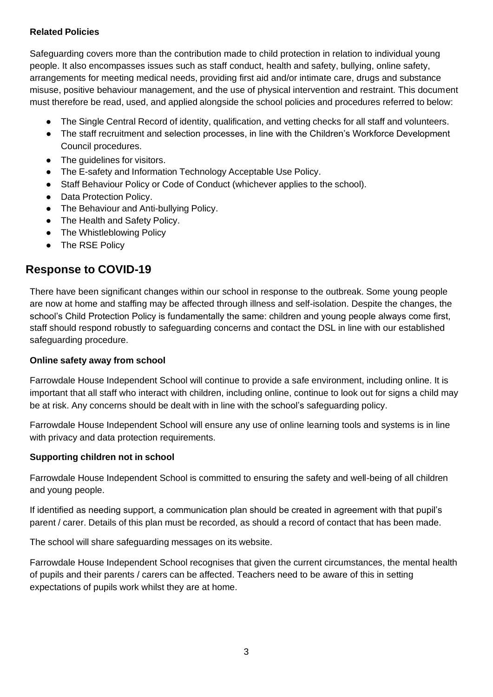# **Related Policies**

Safeguarding covers more than the contribution made to child protection in relation to individual young people. It also encompasses issues such as staff conduct, health and safety, bullying, online safety, arrangements for meeting medical needs, providing first aid and/or intimate care, drugs and substance misuse, positive behaviour management, and the use of physical intervention and restraint. This document must therefore be read, used, and applied alongside the school policies and procedures referred to below:

- **●** The Single Central Record of identity, qualification, and vetting checks for all staff and volunteers.
- **●** The staff recruitment and selection processes, in line with the Children's Workforce Development Council procedures.
- **●** The guidelines for visitors.
- **●** The E-safety and Information Technology Acceptable Use Policy.
- **●** Staff Behaviour Policy or Code of Conduct (whichever applies to the school).
- **●** Data Protection Policy.
- **●** The Behaviour and Anti-bullying Policy.
- **●** The Health and Safety Policy.
- The Whistleblowing Policy
- The RSE Policy

# **Response to COVID-19**

There have been significant changes within our school in response to the outbreak. Some young people are now at home and staffing may be affected through illness and self-isolation. Despite the changes, the school's Child Protection Policy is fundamentally the same: children and young people always come first, staff should respond robustly to safeguarding concerns and contact the DSL in line with our established safeguarding procedure.

# **Online safety away from school**

Farrowdale House Independent School will continue to provide a safe environment, including online. It is important that all staff who interact with children, including online, continue to look out for signs a child may be at risk. Any concerns should be dealt with in line with the school's safeguarding policy.

Farrowdale House Independent School will ensure any use of online learning tools and systems is in line with privacy and data protection requirements.

# **Supporting children not in school**

Farrowdale House Independent School is committed to ensuring the safety and well-being of all children and young people.

If identified as needing support, a communication plan should be created in agreement with that pupil's parent / carer. Details of this plan must be recorded, as should a record of contact that has been made.

The school will share safeguarding messages on its website.

Farrowdale House Independent School recognises that given the current circumstances, the mental health of pupils and their parents / carers can be affected. Teachers need to be aware of this in setting expectations of pupils work whilst they are at home.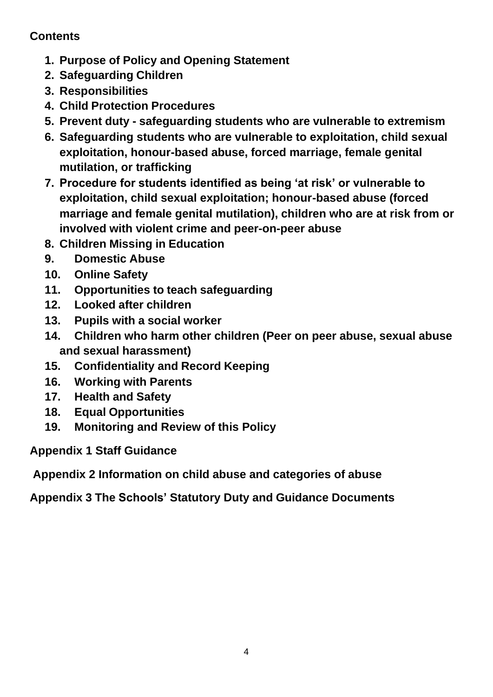# **Contents**

- **1. Purpose of Policy and Opening Statement**
- **2. Safeguarding Children**
- **3. Responsibilities**
- **4. Child Protection Procedures**
- **5. Prevent duty - safeguarding students who are vulnerable to extremism**
- **6. Safeguarding students who are vulnerable to exploitation, child sexual exploitation, honour-based abuse, forced marriage, female genital mutilation, or trafficking**
- **7. Procedure for students identified as being 'at risk' or vulnerable to exploitation, child sexual exploitation; honour-based abuse (forced marriage and female genital mutilation), children who are at risk from or involved with violent crime and peer-on-peer abuse**
- **8. Children Missing in Education**
- **9. Domestic Abuse**
- **10. Online Safety**
- **11. Opportunities to teach safeguarding**
- **12. Looked after children**
- **13. Pupils with a social worker**
- **14. Children who harm other children (Peer on peer abuse, sexual abuse and sexual harassment)**
- **15. Confidentiality and Record Keeping**
- **16. Working with Parents**
- **17. Health and Safety**
- **18. Equal Opportunities**
- **19. Monitoring and Review of this Policy**

**Appendix 1 Staff Guidance**

**Appendix 2 Information on child abuse and categories of abuse**

**Appendix 3 The Schools' Statutory Duty and Guidance Documents**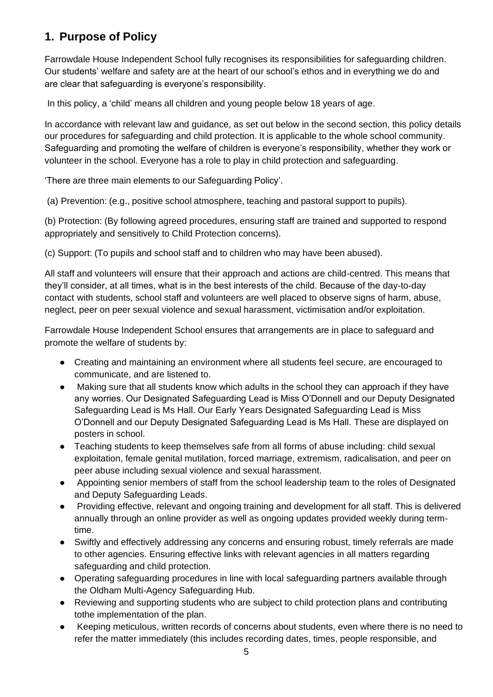# **1. Purpose of Policy**

Farrowdale House Independent School fully recognises its responsibilities for safeguarding children. Our students' welfare and safety are at the heart of our school's ethos and in everything we do and are clear that safeguarding is everyone's responsibility.

In this policy, a 'child' means all children and young people below 18 years of age.

In accordance with relevant law and guidance, as set out below in the second section, this policy details our procedures for safeguarding and child protection. It is applicable to the whole school community. Safeguarding and promoting the welfare of children is everyone's responsibility, whether they work or volunteer in the school. Everyone has a role to play in child protection and safeguarding.

'There are three main elements to our Safeguarding Policy'.

(a) Prevention: (e.g., positive school atmosphere, teaching and pastoral support to pupils).

(b) Protection: (By following agreed procedures, ensuring staff are trained and supported to respond appropriately and sensitively to Child Protection concerns).

(c) Support: (To pupils and school staff and to children who may have been abused).

All staff and volunteers will ensure that their approach and actions are child-centred. This means that they'll consider, at all times, what is in the best interests of the child. Because of the day-to-day contact with students, school staff and volunteers are well placed to observe signs of harm, abuse, neglect, peer on peer sexual violence and sexual harassment, victimisation and/or exploitation.

Farrowdale House Independent School ensures that arrangements are in place to safeguard and promote the welfare of students by:

- **●** Creating and maintaining an environment where all students feel secure, are encouraged to communicate, and are listened to.
- **●** Making sure that all students know which adults in the school they can approach if they have any worries. Our Designated Safeguarding Lead is Miss O'Donnell and our Deputy Designated Safeguarding Lead is Ms Hall. Our Early Years Designated Safeguarding Lead is Miss O'Donnell and our Deputy Designated Safeguarding Lead is Ms Hall. These are displayed on posters in school.
- **●** Teaching students to keep themselves safe from all forms of abuse including: child sexual exploitation, female genital mutilation, forced marriage, extremism, radicalisation, and peer on peer abuse including sexual violence and sexual harassment.
- **●** Appointing senior members of staff from the school leadership team to the roles of Designated and Deputy Safeguarding Leads.
- **●** Providing effective, relevant and ongoing training and development for all staff. This is delivered annually through an online provider as well as ongoing updates provided weekly during termtime.
- **●** Swiftly and effectively addressing any concerns and ensuring robust, timely referrals are made to other agencies. Ensuring effective links with relevant agencies in all matters regarding safeguarding and child protection.
- **●** Operating safeguarding procedures in line with local safeguarding partners available through the Oldham Multi-Agency Safeguarding Hub.
- **●** Reviewing and supporting students who are subject to child protection plans and contributing tothe implementation of the plan.
- **●** Keeping meticulous, written records of concerns about students, even where there is no need to refer the matter immediately (this includes recording dates, times, people responsible, and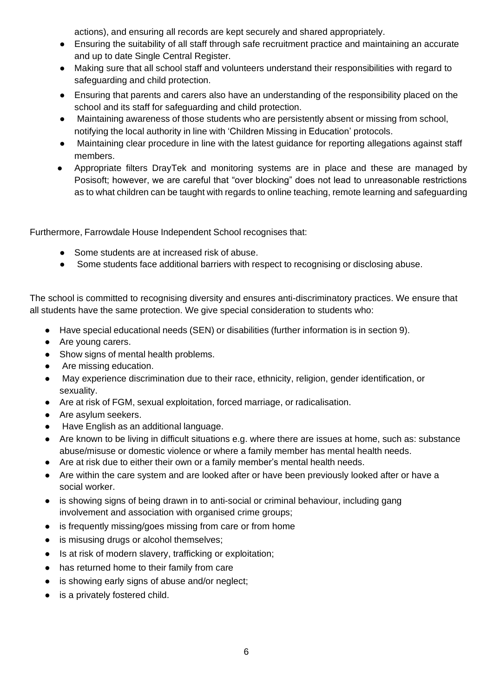actions), and ensuring all records are kept securely and shared appropriately.

- **●** Ensuring the suitability of all staff through safe recruitment practice and maintaining an accurate and up to date Single Central Register.
- **●** Making sure that all school staff and volunteers understand their responsibilities with regard to safeguarding and child protection.
- **●** Ensuring that parents and carers also have an understanding of the responsibility placed on the school and its staff for safeguarding and child protection.
- **●** Maintaining awareness of those students who are persistently absent or missing from school, notifying the local authority in line with 'Children Missing in Education' protocols.
- Maintaining clear procedure in line with the latest guidance for reporting allegations against staff members.
- Appropriate filters DrayTek and monitoring systems are in place and these are managed by Posisoft; however, we are careful that "over blocking" does not lead to unreasonable restrictions as to what children can be taught with regards to online teaching, remote learning and safeguarding

Furthermore, Farrowdale House Independent School recognises that:

- **●** Some students are at increased risk of abuse.
- **●** Some students face additional barriers with respect to recognising or disclosing abuse.

The school is committed to recognising diversity and ensures anti-discriminatory practices. We ensure that all students have the same protection. We give special consideration to students who:

- **●** Have special educational needs (SEN) or disabilities (further information is in section 9).
- **●** Are young carers.
- **●** Show signs of mental health problems.
- **●** Are missing education.
- **●** May experience discrimination due to their race, ethnicity, religion, gender identification, or sexuality.
- **●** Are at risk of FGM, sexual exploitation, forced marriage, or radicalisation.
- **●** Are asylum seekers.
- **●** Have English as an additional language.
- **●** Are known to be living in difficult situations e.g. where there are issues at home, such as: substance abuse/misuse or domestic violence or where a family member has mental health needs.
- **●** Are at risk due to either their own or a family member's mental health needs.
- Are within the care system and are looked after or have been previously looked after or have a social worker.
- is showing signs of being drawn in to anti-social or criminal behaviour, including gang involvement and association with organised crime groups;
- is frequently missing/goes missing from care or from home
- is misusing drugs or alcohol themselves;
- Is at risk of modern slavery, trafficking or exploitation;
- has returned home to their family from care
- is showing early signs of abuse and/or neglect;
- is a privately fostered child.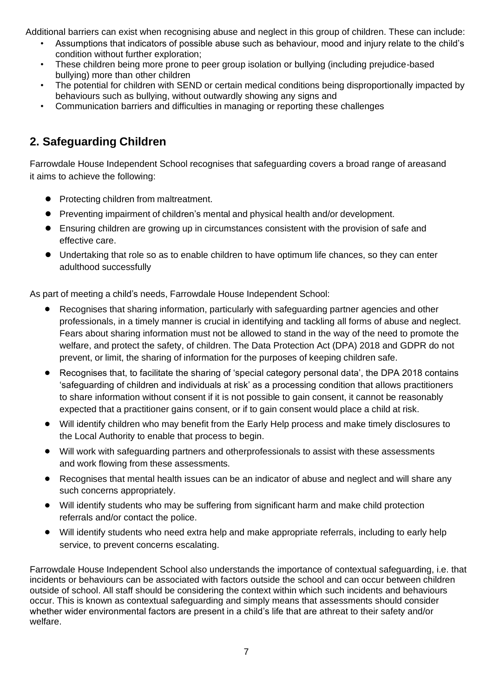Additional barriers can exist when recognising abuse and neglect in this group of children. These can include:

- Assumptions that indicators of possible abuse such as behaviour, mood and injury relate to the child's condition without further exploration;
- These children being more prone to peer group isolation or bullying (including prejudice-based bullying) more than other children
- The potential for children with SEND or certain medical conditions being disproportionally impacted by behaviours such as bullying, without outwardly showing any signs and
- Communication barriers and difficulties in managing or reporting these challenges

# **2. Safeguarding Children**

Farrowdale House Independent School recognises that safeguarding covers a broad range of areasand it aims to achieve the following:

- **●** Protecting children from maltreatment.
- **●** Preventing impairment of children's mental and physical health and/or development.
- **●** Ensuring children are growing up in circumstances consistent with the provision of safe and effective care.
- **●** Undertaking that role so as to enable children to have optimum life chances, so they can enter adulthood successfully

As part of meeting a child's needs, Farrowdale House Independent School:

- Recognises that sharing information, particularly with safeguarding partner agencies and other professionals, in a timely manner is crucial in identifying and tackling all forms of abuse and neglect. Fears about sharing information must not be allowed to stand in the way of the need to promote the welfare, and protect the safety, of children. The Data Protection Act (DPA) 2018 and GDPR do not prevent, or limit, the sharing of information for the purposes of keeping children safe.
- Recognises that, to facilitate the sharing of 'special category personal data', the DPA 2018 contains 'safeguarding of children and individuals at risk' as a processing condition that allows practitioners to share information without consent if it is not possible to gain consent, it cannot be reasonably expected that a practitioner gains consent, or if to gain consent would place a child at risk.
- Will identify children who may benefit from the Early Help process and make timely disclosures to the Local Authority to enable that process to begin.
- Will work with safeguarding partners and otherprofessionals to assist with these assessments and work flowing from these assessments.
- Recognises that mental health issues can be an indicator of abuse and neglect and will share any such concerns appropriately.
- Will identify students who may be suffering from significant harm and make child protection referrals and/or contact the police.
- Will identify students who need extra help and make appropriate referrals, including to early help service, to prevent concerns escalating.

Farrowdale House Independent School also understands the importance of contextual safeguarding, i.e. that incidents or behaviours can be associated with factors outside the school and can occur between children outside of school. All staff should be considering the context within which such incidents and behaviours occur. This is known as contextual safeguarding and simply means that assessments should consider whether wider environmental factors are present in a child's life that are athreat to their safety and/or welfare.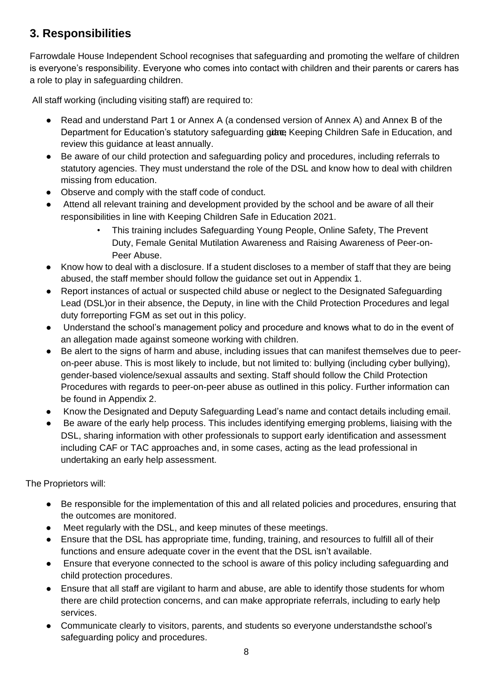# **3. Responsibilities**

Farrowdale House Independent School recognises that safeguarding and promoting the welfare of children is everyone's responsibility. Everyone who comes into contact with children and their parents or carers has a role to play in safeguarding children.

All staff working (including visiting staff) are required to:

- Read and understand Part 1 or Annex A (a condensed version of Annex A) and Annex B of the Department for Education's statutory safeguarding giang Keeping Children Safe in Education, and review this guidance at least annually.
- Be aware of our child protection and safeguarding policy and procedures, including referrals to statutory agencies. They must understand the role of the DSL and know how to deal with children missing from education.
- Observe and comply with the staff code of conduct.
- Attend all relevant training and development provided by the school and be aware of all their responsibilities in line with Keeping Children Safe in Education 2021.
	- This training includes Safeguarding Young People, Online Safety, The Prevent Duty, Female Genital Mutilation Awareness and Raising Awareness of Peer-on-Peer Abuse.
- Know how to deal with a disclosure. If a student discloses to a member of staff that they are being abused, the staff member should follow the guidance set out in Appendix 1.
- Report instances of actual or suspected child abuse or neglect to the Designated Safeguarding Lead (DSL)or in their absence, the Deputy, in line with the Child Protection Procedures and legal duty forreporting FGM as set out in this policy.
- Understand the school's management policy and procedure and knows what to do in the event of an allegation made against someone working with children.
- Be alert to the signs of harm and abuse, including issues that can manifest themselves due to peeron-peer abuse. This is most likely to include, but not limited to: bullying (including cyber bullying), gender-based violence/sexual assaults and sexting. Staff should follow the Child Protection Procedures with regards to peer-on-peer abuse as outlined in this policy. Further information can be found in Appendix 2.
- Know the Designated and Deputy Safeguarding Lead's name and contact details including email.
- Be aware of the early help process. This includes identifying emerging problems, liaising with the DSL, sharing information with other professionals to support early identification and assessment including CAF or TAC approaches and, in some cases, acting as the lead professional in undertaking an early help assessment.

The Proprietors will:

- **●** Be responsible for the implementation of this and all related policies and procedures, ensuring that the outcomes are monitored.
- **●** Meet regularly with the DSL, and keep minutes of these meetings.
- **●** Ensure that the DSL has appropriate time, funding, training, and resources to fulfill all of their functions and ensure adequate cover in the event that the DSL isn't available.
- **●** Ensure that everyone connected to the school is aware of this policy including safeguarding and child protection procedures.
- **●** Ensure that all staff are vigilant to harm and abuse, are able to identify those students for whom there are child protection concerns, and can make appropriate referrals, including to early help services.
- **●** Communicate clearly to visitors, parents, and students so everyone understandsthe school's safeguarding policy and procedures.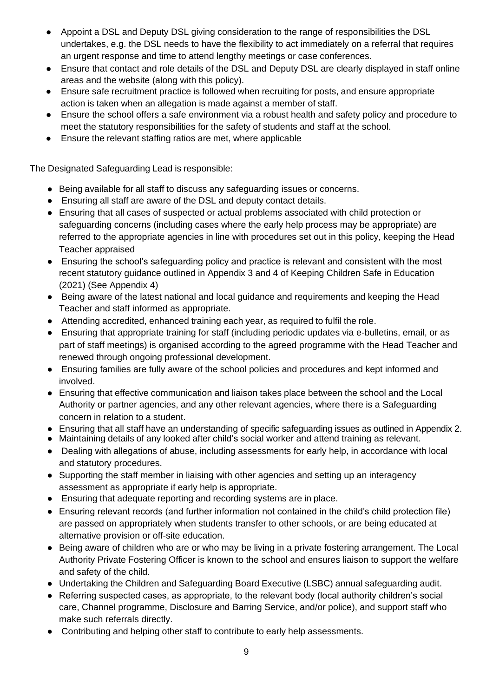- **●** Appoint a DSL and Deputy DSL giving consideration to the range of responsibilities the DSL undertakes, e.g. the DSL needs to have the flexibility to act immediately on a referral that requires an urgent response and time to attend lengthy meetings or case conferences.
- **●** Ensure that contact and role details of the DSL and Deputy DSL are clearly displayed in staff online areas and the website (along with this policy).
- **●** Ensure safe recruitment practice is followed when recruiting for posts, and ensure appropriate action is taken when an allegation is made against a member of staff.
- **●** Ensure the school offers a safe environment via a robust health and safety policy and procedure to meet the statutory responsibilities for the safety of students and staff at the school.
- **●** Ensure the relevant staffing ratios are met, where applicable

The Designated Safeguarding Lead is responsible:

- **●** Being available for all staff to discuss any safeguarding issues or concerns.
- **●** Ensuring all staff are aware of the DSL and deputy contact details.
- **●** Ensuring that all cases of suspected or actual problems associated with child protection or safeguarding concerns (including cases where the early help process may be appropriate) are referred to the appropriate agencies in line with procedures set out in this policy, keeping the Head Teacher appraised
- **●** Ensuring the school's safeguarding policy and practice is relevant and consistent with the most recent statutory guidance outlined in Appendix 3 and 4 of Keeping Children Safe in Education (2021) (See Appendix 4)
- **●** Being aware of the latest national and local guidance and requirements and keeping the Head Teacher and staff informed as appropriate.
- **●** Attending accredited, enhanced training each year, as required to fulfil the role.
- **●** Ensuring that appropriate training for staff (including periodic updates via e-bulletins, email, or as part of staff meetings) is organised according to the agreed programme with the Head Teacher and renewed through ongoing professional development.
- **●** Ensuring families are fully aware of the school policies and procedures and kept informed and involved.
- **●** Ensuring that effective communication and liaison takes place between the school and the Local Authority or partner agencies, and any other relevant agencies, where there is a Safeguarding concern in relation to a student.
- **●** Ensuring that all staff have an understanding of specific safeguarding issues as outlined in Appendix 2.
- **●** Maintaining details of any looked after child's social worker and attend training as relevant.
- **●** Dealing with allegations of abuse, including assessments for early help, in accordance with local and statutory procedures.
- **●** Supporting the staff member in liaising with other agencies and setting up an interagency assessment as appropriate if early help is appropriate.
- **●** Ensuring that adequate reporting and recording systems are in place.
- **●** Ensuring relevant records (and further information not contained in the child's child protection file) are passed on appropriately when students transfer to other schools, or are being educated at alternative provision or off-site education.
- **●** Being aware of children who are or who may be living in a private fostering arrangement. The Local Authority Private Fostering Officer is known to the school and ensures liaison to support the welfare and safety of the child.
- **●** Undertaking the Children and Safeguarding Board Executive (LSBC) annual safeguarding audit.
- **●** Referring suspected cases, as appropriate, to the relevant body (local authority children's social care, Channel programme, Disclosure and Barring Service, and/or police), and support staff who make such referrals directly.
- **●** Contributing and helping other staff to contribute to early help assessments.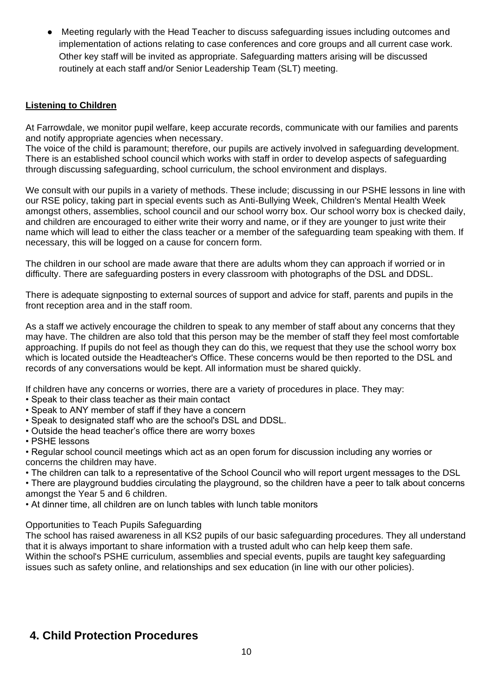● Meeting regularly with the Head Teacher to discuss safeguarding issues including outcomes and implementation of actions relating to case conferences and core groups and all current case work. Other key staff will be invited as appropriate. Safeguarding matters arising will be discussed routinely at each staff and/or Senior Leadership Team (SLT) meeting.

## **Listening to Children**

At Farrowdale, we monitor pupil welfare, keep accurate records, communicate with our families and parents and notify appropriate agencies when necessary.

The voice of the child is paramount; therefore, our pupils are actively involved in safeguarding development. There is an established school council which works with staff in order to develop aspects of safeguarding through discussing safeguarding, school curriculum, the school environment and displays.

We consult with our pupils in a variety of methods. These include; discussing in our PSHE lessons in line with our RSE policy, taking part in special events such as Anti-Bullying Week, Children's Mental Health Week amongst others, assemblies, school council and our school worry box. Our school worry box is checked daily, and children are encouraged to either write their worry and name, or if they are younger to just write their name which will lead to either the class teacher or a member of the safeguarding team speaking with them. If necessary, this will be logged on a cause for concern form.

The children in our school are made aware that there are adults whom they can approach if worried or in difficulty. There are safeguarding posters in every classroom with photographs of the DSL and DDSL.

There is adequate signposting to external sources of support and advice for staff, parents and pupils in the front reception area and in the staff room.

As a staff we actively encourage the children to speak to any member of staff about any concerns that they may have. The children are also told that this person may be the member of staff they feel most comfortable approaching. If pupils do not feel as though they can do this, we request that they use the school worry box which is located outside the Headteacher's Office. These concerns would be then reported to the DSL and records of any conversations would be kept. All information must be shared quickly.

If children have any concerns or worries, there are a variety of procedures in place. They may:

- Speak to their class teacher as their main contact
- Speak to ANY member of staff if they have a concern
- Speak to designated staff who are the school's DSL and DDSL.
- Outside the head teacher's office there are worry boxes
- PSHE lessons

• Regular school council meetings which act as an open forum for discussion including any worries or concerns the children may have.

• The children can talk to a representative of the School Council who will report urgent messages to the DSL

• There are playground buddies circulating the playground, so the children have a peer to talk about concerns amongst the Year 5 and 6 children.

• At dinner time, all children are on lunch tables with lunch table monitors

#### Opportunities to Teach Pupils Safeguarding

The school has raised awareness in all KS2 pupils of our basic safeguarding procedures. They all understand that it is always important to share information with a trusted adult who can help keep them safe. Within the school's PSHE curriculum, assemblies and special events, pupils are taught key safeguarding issues such as safety online, and relationships and sex education (in line with our other policies).

# **4. Child Protection Procedures**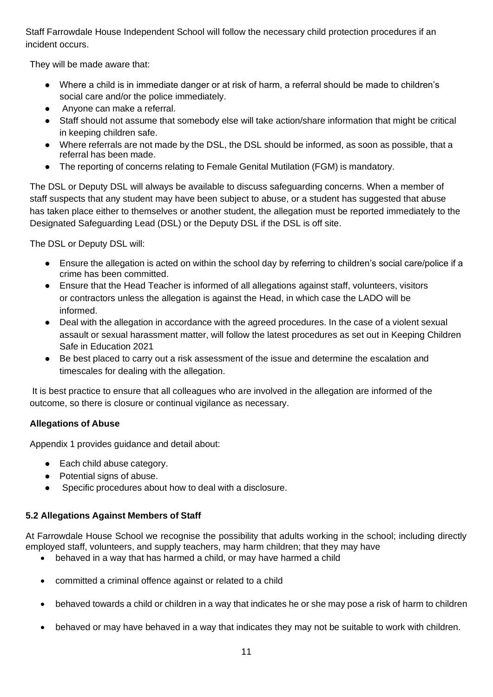Staff Farrowdale House Independent School will follow the necessary child protection procedures if an incident occurs.

They will be made aware that:

- **●** Where a child is in immediate danger or at risk of harm, a referral should be made to children's social care and/or the police immediately.
- **●** Anyone can make a referral.
- **●** Staff should not assume that somebody else will take action/share information that might be critical in keeping children safe.
- **●** Where referrals are not made by the DSL, the DSL should be informed, as soon as possible, that a referral has been made.
- **●** The reporting of concerns relating to Female Genital Mutilation (FGM) is mandatory.

The DSL or Deputy DSL will always be available to discuss safeguarding concerns. When a member of staff suspects that any student may have been subject to abuse, or a student has suggested that abuse has taken place either to themselves or another student, the allegation must be reported immediately to the Designated Safeguarding Lead (DSL) or the Deputy DSL if the DSL is off site.

The DSL or Deputy DSL will:

- Ensure the allegation is acted on within the school day by referring to children's social care/police if a crime has been committed.
- Ensure that the Head Teacher is informed of all allegations against staff, volunteers, visitors or contractors unless the allegation is against the Head, in which case the LADO will be informed.
- Deal with the allegation in accordance with the agreed procedures. In the case of a violent sexual assault or sexual harassment matter, will follow the latest procedures as set out in Keeping Children Safe in Education 2021
- Be best placed to carry out a risk assessment of the issue and determine the escalation and timescales for dealing with the allegation.

It is best practice to ensure that all colleagues who are involved in the allegation are informed of the outcome, so there is closure or continual vigilance as necessary.

# **Allegations of Abuse**

Appendix 1 provides guidance and detail about:

- **●** Each child abuse category.
- **●** Potential signs of abuse.
- **●** Specific procedures about how to deal with a disclosure.

# **5.2 Allegations Against Members of Staff**

At Farrowdale House School we recognise the possibility that adults working in the school; including directly employed staff, volunteers, and supply teachers, may harm children; that they may have

- behaved in a way that has harmed a child, or may have harmed a child
- committed a criminal offence against or related to a child
- behaved towards a child or children in a way that indicates he or she may pose a risk of harm to children
- behaved or may have behaved in a way that indicates they may not be suitable to work with children.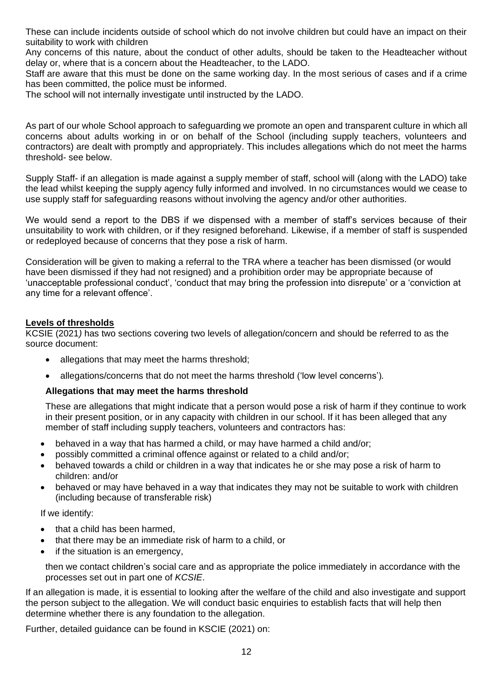These can include incidents outside of school which do not involve children but could have an impact on their suitability to work with children

Any concerns of this nature, about the conduct of other adults, should be taken to the Headteacher without delay or, where that is a concern about the Headteacher, to the LADO.

Staff are aware that this must be done on the same working day. In the most serious of cases and if a crime has been committed, the police must be informed.

The school will not internally investigate until instructed by the LADO.

As part of our whole School approach to safeguarding we promote an open and transparent culture in which all concerns about adults working in or on behalf of the School (including supply teachers, volunteers and contractors) are dealt with promptly and appropriately. This includes allegations which do not meet the harms threshold- see below.

Supply Staff- if an allegation is made against a supply member of staff, school will (along with the LADO) take the lead whilst keeping the supply agency fully informed and involved. In no circumstances would we cease to use supply staff for safeguarding reasons without involving the agency and/or other authorities.

We would send a report to the DBS if we dispensed with a member of staff's services because of their unsuitability to work with children, or if they resigned beforehand. Likewise, if a member of staff is suspended or redeployed because of concerns that they pose a risk of harm.

Consideration will be given to making a referral to the TRA where a teacher has been dismissed (or would have been dismissed if they had not resigned) and a prohibition order may be appropriate because of 'unacceptable professional conduct', 'conduct that may bring the profession into disrepute' or a 'conviction at any time for a relevant offence'.

#### **Levels of thresholds**

KCSIE (2021*)* has two sections covering two levels of allegation/concern and should be referred to as the source document:

- allegations that may meet the harms threshold;
- allegations/concerns that do not meet the harms threshold ('low level concerns')*.*

#### **Allegations that may meet the harms threshold**

These are allegations that might indicate that a person would pose a risk of harm if they continue to work in their present position, or in any capacity with children in our school. If it has been alleged that any member of staff including supply teachers, volunteers and contractors has:

- behaved in a way that has harmed a child, or may have harmed a child and/or;
- possibly committed a criminal offence against or related to a child and/or;
- behaved towards a child or children in a way that indicates he or she may pose a risk of harm to children: and/or
- behaved or may have behaved in a way that indicates they may not be suitable to work with children (including because of transferable risk)

If we identify:

- that a child has been harmed.
- that there may be an immediate risk of harm to a child, or
- if the situation is an emergency,

then we contact children's social care and as appropriate the police immediately in accordance with the processes set out in part one of *KCSIE*.

If an allegation is made, it is essential to looking after the welfare of the child and also investigate and support the person subject to the allegation. We will conduct basic enquiries to establish facts that will help then determine whether there is any foundation to the allegation.

Further, detailed guidance can be found in KSCIE (2021) on: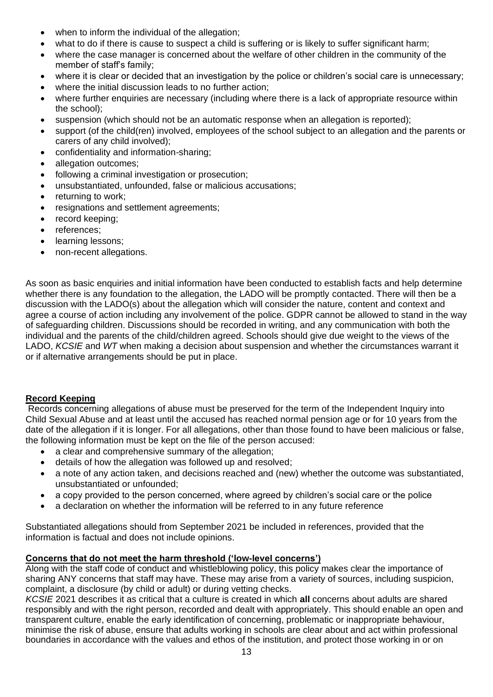- when to inform the individual of the allegation;
- what to do if there is cause to suspect a child is suffering or is likely to suffer significant harm;
- where the case manager is concerned about the welfare of other children in the community of the member of staff's family;
- where it is clear or decided that an investigation by the police or children's social care is unnecessary;
- where the initial discussion leads to no further action;
- where further enquiries are necessary (including where there is a lack of appropriate resource within the school);
- suspension (which should not be an automatic response when an allegation is reported);
- support (of the child(ren) involved, employees of the school subject to an allegation and the parents or carers of any child involved);
- confidentiality and information-sharing;
- allegation outcomes;
- following a criminal investigation or prosecution;
- unsubstantiated, unfounded, false or malicious accusations;
- returning to work;
- resignations and settlement agreements;
- record keeping;
- references;
- learning lessons;
- non-recent allegations.

As soon as basic enquiries and initial information have been conducted to establish facts and help determine whether there is any foundation to the allegation, the LADO will be promptly contacted. There will then be a discussion with the LADO(s) about the allegation which will consider the nature, content and context and agree a course of action including any involvement of the police. GDPR cannot be allowed to stand in the way of safeguarding children. Discussions should be recorded in writing, and any communication with both the individual and the parents of the child/children agreed. Schools should give due weight to the views of the LADO, *KCSIE* and *WT* when making a decision about suspension and whether the circumstances warrant it or if alternative arrangements should be put in place.

#### **Record Keeping**

Records concerning allegations of abuse must be preserved for the term of the Independent Inquiry into Child Sexual Abuse and at least until the accused has reached normal pension age or for 10 years from the date of the allegation if it is longer. For all allegations, other than those found to have been malicious or false, the following information must be kept on the file of the person accused:

- a clear and comprehensive summary of the allegation;
- details of how the allegation was followed up and resolved;
- a note of any action taken, and decisions reached and (new) whether the outcome was substantiated, unsubstantiated or unfounded;
- a copy provided to the person concerned, where agreed by children's social care or the police
- a declaration on whether the information will be referred to in any future reference

Substantiated allegations should from September 2021 be included in references, provided that the information is factual and does not include opinions.

#### **Concerns that do not meet the harm threshold ('low-level concerns')**

Along with the staff code of conduct and whistleblowing policy, this policy makes clear the importance of sharing ANY concerns that staff may have. These may arise from a variety of sources, including suspicion, complaint, a disclosure (by child or adult) or during vetting checks.

*KCSIE* 2021 describes it as critical that a culture is created in which **all** concerns about adults are shared responsibly and with the right person, recorded and dealt with appropriately. This should enable an open and transparent culture, enable the early identification of concerning, problematic or inappropriate behaviour, minimise the risk of abuse, ensure that adults working in schools are clear about and act within professional boundaries in accordance with the values and ethos of the institution, and protect those working in or on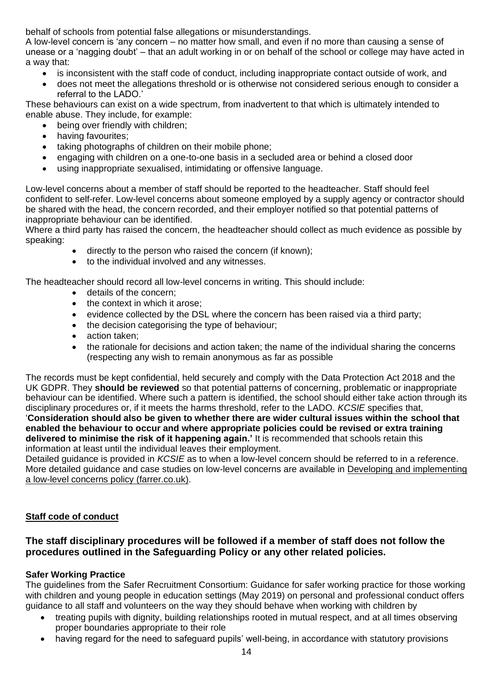behalf of schools from potential false allegations or misunderstandings.

A low-level concern is 'any concern – no matter how small, and even if no more than causing a sense of unease or a 'nagging doubt' – that an adult working in or on behalf of the school or college may have acted in a way that:

- is inconsistent with the staff code of conduct, including inappropriate contact outside of work, and
- does not meet the allegations threshold or is otherwise not considered serious enough to consider a referral to the LADO.'

These behaviours can exist on a wide spectrum, from inadvertent to that which is ultimately intended to enable abuse. They include, for example:

- being over friendly with children:
- having favourites;
- taking photographs of children on their mobile phone;
- engaging with children on a one-to-one basis in a secluded area or behind a closed door
- using inappropriate sexualised, intimidating or offensive language.

Low-level concerns about a member of staff should be reported to the headteacher. Staff should feel confident to self-refer. Low-level concerns about someone employed by a supply agency or contractor should be shared with the head, the concern recorded, and their employer notified so that potential patterns of inappropriate behaviour can be identified.

Where a third party has raised the concern, the headteacher should collect as much evidence as possible by speaking:

- directly to the person who raised the concern (if known);
- to the individual involved and any witnesses.

The headteacher should record all low-level concerns in writing. This should include:

- details of the concern;
- the context in which it arose;
- evidence collected by the DSL where the concern has been raised via a third party;
- the decision categorising the type of behaviour;
- action taken:
- the rationale for decisions and action taken; the name of the individual sharing the concerns (respecting any wish to remain anonymous as far as possible

The records must be kept confidential, held securely and comply with the Data Protection Act 2018 and the UK GDPR. They **should be reviewed** so that potential patterns of concerning, problematic or inappropriate behaviour can be identified. Where such a pattern is identified, the school should either take action through its disciplinary procedures or, if it meets the harms threshold, refer to the LADO. *KCSIE* specifies that, '**Consideration should also be given to whether there are wider cultural issues within the school that enabled the behaviour to occur and where appropriate policies could be revised or extra training delivered to minimise the risk of it happening again.'** It is recommended that schools retain this information at least until the individual leaves their employment.

Detailed guidance is provided in *KCSIE* as to when a low-level concern should be referred to in a reference. More detailed guidance and case studies on low-level concerns are available in [Developing and implementing](https://www.farrer.co.uk/news-and-insights/developing-and-implementing-a-low-level-concerns-policy-a-guide-for-organisations-which-work-with-children/)  [a low-level concerns policy](https://www.farrer.co.uk/news-and-insights/developing-and-implementing-a-low-level-concerns-policy-a-guide-for-organisations-which-work-with-children/) [\(farrer.co.uk\)](file:///C:/Users/grahamsims/Dropbox/Dropbox%20Graham/ISI/ISI%20Documentation/02%20RCI%20and%20EQI%20Inspection%20Documentation/farrer.co.uk).

# **Staff code of conduct**

# **The staff disciplinary procedures will be followed if a member of staff does not follow the procedures outlined in the Safeguarding Policy or any other related policies.**

# **Safer Working Practice**

The guidelines from the Safer Recruitment Consortium: Guidance for safer working practice for those working with children and young people in education settings (May 2019) on personal and professional conduct offers guidance to all staff and volunteers on the way they should behave when working with children by

- treating pupils with dignity, building relationships rooted in mutual respect, and at all times observing proper boundaries appropriate to their role
- having regard for the need to safeguard pupils' well-being, in accordance with statutory provisions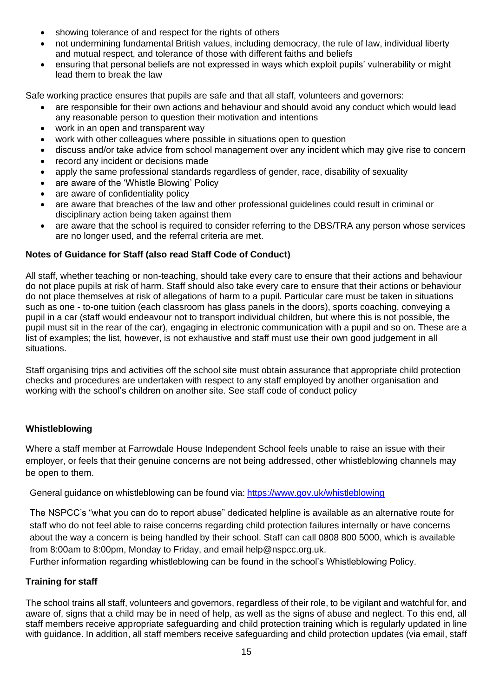- showing tolerance of and respect for the rights of others
- not undermining fundamental British values, including democracy, the rule of law, individual liberty and mutual respect, and tolerance of those with different faiths and beliefs
- ensuring that personal beliefs are not expressed in ways which exploit pupils' vulnerability or might lead them to break the law

Safe working practice ensures that pupils are safe and that all staff, volunteers and governors:

- are responsible for their own actions and behaviour and should avoid any conduct which would lead any reasonable person to question their motivation and intentions
- work in an open and transparent way
- work with other colleagues where possible in situations open to question
- discuss and/or take advice from school management over any incident which may give rise to concern
- record any incident or decisions made
- apply the same professional standards regardless of gender, race, disability of sexuality
- are aware of the 'Whistle Blowing' Policy
- are aware of confidentiality policy
- are aware that breaches of the law and other professional guidelines could result in criminal or disciplinary action being taken against them
- are aware that the school is required to consider referring to the DBS/TRA any person whose services are no longer used, and the referral criteria are met.

# **Notes of Guidance for Staff (also read Staff Code of Conduct)**

All staff, whether teaching or non-teaching, should take every care to ensure that their actions and behaviour do not place pupils at risk of harm. Staff should also take every care to ensure that their actions or behaviour do not place themselves at risk of allegations of harm to a pupil. Particular care must be taken in situations such as one - to-one tuition (each classroom has glass panels in the doors), sports coaching, conveying a pupil in a car (staff would endeavour not to transport individual children, but where this is not possible, the pupil must sit in the rear of the car), engaging in electronic communication with a pupil and so on. These are a list of examples; the list, however, is not exhaustive and staff must use their own good judgement in all situations.

Staff organising trips and activities off the school site must obtain assurance that appropriate child protection checks and procedures are undertaken with respect to any staff employed by another organisation and working with the school's children on another site. See staff code of conduct policy

# **Whistleblowing**

Where a staff member at Farrowdale House Independent School feels unable to raise an issue with their employer, or feels that their genuine concerns are not being addressed, other whistleblowing channels may be open to them.

General guidance on whistleblowing can be found via: <https://www.gov.uk/whistleblowing>

The NSPCC's "what you can do to report abuse" dedicated helpline is available as an alternative route for staff who do not feel able to raise concerns regarding child protection failures internally or have concerns about the way a concern is being handled by their school. Staff can call 0808 800 5000, which is available from 8:00am to 8:00pm, Monday to Friday, and email [help@nspcc.org.uk.](mailto:help@nspcc.org.uk)

Further information regarding whistleblowing can be found in the school's Whistleblowing Policy.

# **Training for staff**

The school trains all staff, volunteers and governors, regardless of their role, to be vigilant and watchful for, and aware of, signs that a child may be in need of help, as well as the signs of abuse and neglect. To this end, all staff members receive appropriate safeguarding and child protection training which is regularly updated in line with guidance. In addition, all staff members receive safeguarding and child protection updates (via email, staff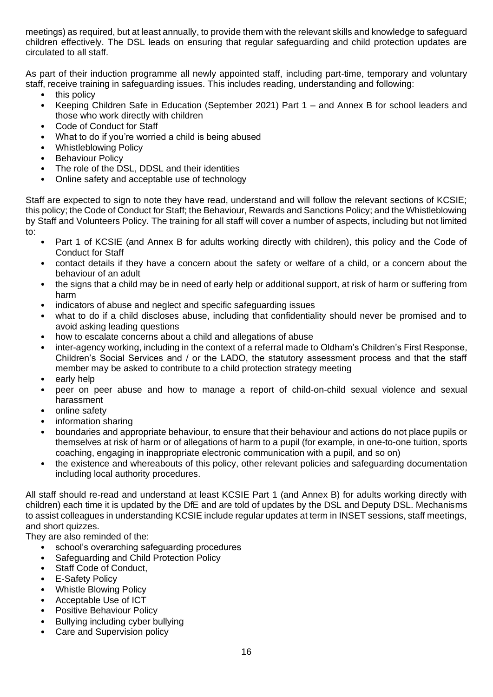meetings) as required, but at least annually, to provide them with the relevant skills and knowledge to safeguard children effectively. The DSL leads on ensuring that regular safeguarding and child protection updates are circulated to all staff.

As part of their induction programme all newly appointed staff, including part-time, temporary and voluntary staff, receive training in safeguarding issues. This includes reading, understanding and following:

- this policy
- Keeping Children Safe in Education (September 2021) Part 1 and Annex B for school leaders and those who work directly with children
- Code of Conduct for Staff
- What to do if you're worried a child is being abused
- Whistleblowing Policy
- **Behaviour Policy**
- The role of the DSL, DDSL and their identities
- Online safety and acceptable use of technology

Staff are expected to sign to note they have read, understand and will follow the relevant sections of KCSIE; this policy; the Code of Conduct for Staff; the Behaviour, Rewards and Sanctions Policy; and the Whistleblowing by Staff and Volunteers Policy. The training for all staff will cover a number of aspects, including but not limited to:

- Part 1 of KCSIE (and Annex B for adults working directly with children), this policy and the Code of Conduct for Staff
- contact details if they have a concern about the safety or welfare of a child, or a concern about the behaviour of an adult
- the signs that a child may be in need of early help or additional support, at risk of harm or suffering from harm
- indicators of abuse and neglect and specific safeguarding issues
- what to do if a child discloses abuse, including that confidentiality should never be promised and to avoid asking leading questions
- how to escalate concerns about a child and allegations of abuse
- inter-agency working, including in the context of a referral made to Oldham's Children's First Response, Children's Social Services and / or the LADO, the statutory assessment process and that the staff member may be asked to contribute to a child protection strategy meeting
- early help
- peer on peer abuse and how to manage a report of child-on-child sexual violence and sexual harassment
- online safety
- information sharing
- boundaries and appropriate behaviour, to ensure that their behaviour and actions do not place pupils or themselves at risk of harm or of allegations of harm to a pupil (for example, in one-to-one tuition, sports coaching, engaging in inappropriate electronic communication with a pupil, and so on)
- the existence and whereabouts of this policy, other relevant policies and safeguarding documentation including local authority procedures.

All staff should re-read and understand at least KCSIE Part 1 (and Annex B) for adults working directly with children) each time it is updated by the DfE and are told of updates by the DSL and Deputy DSL. Mechanisms to assist colleagues in understanding KCSIE include regular updates at term in INSET sessions, staff meetings, and short quizzes.

They are also reminded of the:

- school's overarching safeguarding procedures
- Safeguarding and Child Protection Policy
- Staff Code of Conduct,
- **E-Safety Policy**
- Whistle Blowing Policy
- Acceptable Use of ICT
- Positive Behaviour Policy
- Bullying including cyber bullying
- Care and Supervision policy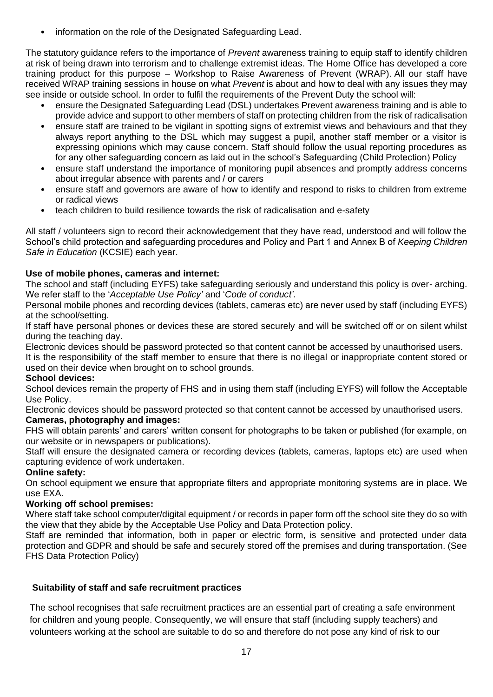• information on the role of the Designated Safeguarding Lead.

The statutory guidance refers to the importance of *Prevent* awareness training to equip staff to identify children at risk of being drawn into terrorism and to challenge extremist ideas. The Home Office has developed a core training product for this purpose – Workshop to Raise Awareness of Prevent (WRAP). All our staff have received WRAP training sessions in house on what *Prevent* is about and how to deal with any issues they may see inside or outside school. In order to fulfil the requirements of the Prevent Duty the school will:

- ensure the Designated Safeguarding Lead (DSL) undertakes Prevent awareness training and is able to provide advice and support to other members of staff on protecting children from the risk of radicalisation
- ensure staff are trained to be vigilant in spotting signs of extremist views and behaviours and that they always report anything to the DSL which may suggest a pupil, another staff member or a visitor is expressing opinions which may cause concern. Staff should follow the usual reporting procedures as for any other safeguarding concern as laid out in the school's Safeguarding (Child Protection) Policy
- ensure staff understand the importance of monitoring pupil absences and promptly address concerns about irregular absence with parents and / or carers
- ensure staff and governors are aware of how to identify and respond to risks to children from extreme or radical views
- teach children to build resilience towards the risk of radicalisation and e-safety

All staff / volunteers sign to record their acknowledgement that they have read, understood and will follow the School's child protection and safeguarding procedures and Policy and Part 1 and Annex B of *Keeping Children Safe in Education* (KCSIE) each year.

# **Use of mobile phones, cameras and internet:**

The school and staff (including EYFS) take safeguarding seriously and understand this policy is over- arching. We refer staff to the '*Acceptable Use Policy'* and '*Code of conduct'*.

Personal mobile phones and recording devices (tablets, cameras etc) are never used by staff (including EYFS) at the school/setting.

If staff have personal phones or devices these are stored securely and will be switched off or on silent whilst during the teaching day.

Electronic devices should be password protected so that content cannot be accessed by unauthorised users. It is the responsibility of the staff member to ensure that there is no illegal or inappropriate content stored or used on their device when brought on to school grounds.

# **School devices:**

School devices remain the property of FHS and in using them staff (including EYFS) will follow the Acceptable Use Policy.

Electronic devices should be password protected so that content cannot be accessed by unauthorised users. **Cameras, photography and images:**

FHS will obtain parents' and carers' written consent for photographs to be taken or published (for example, on our website or in newspapers or publications).

Staff will ensure the designated camera or recording devices (tablets, cameras, laptops etc) are used when capturing evidence of work undertaken.

# **Online safety:**

On school equipment we ensure that appropriate filters and appropriate monitoring systems are in place. We use EXA.

# **Working off school premises:**

Where staff take school computer/digital equipment / or records in paper form off the school site they do so with the view that they abide by the Acceptable Use Policy and Data Protection policy.

Staff are reminded that information, both in paper or electric form, is sensitive and protected under data protection and GDPR and should be safe and securely stored off the premises and during transportation. (See FHS Data Protection Policy)

# **Suitability of staff and safe recruitment practices**

The school recognises that safe recruitment practices are an essential part of creating a safe environment for children and young people. Consequently, we will ensure that staff (including supply teachers) and volunteers working at the school are suitable to do so and therefore do not pose any kind of risk to our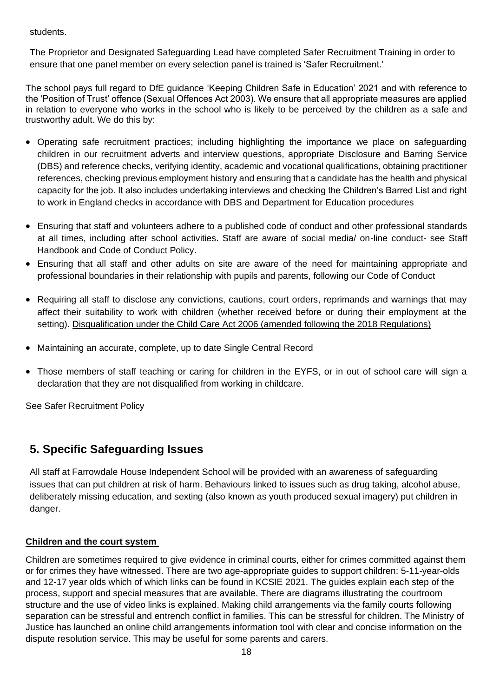students.

The Proprietor and Designated Safeguarding Lead have completed Safer Recruitment Training in order to ensure that one panel member on every selection panel is trained is 'Safer Recruitment.'

The school pays full regard to DfE guidance 'Keeping Children Safe in Education' 2021 and with reference to the 'Position of Trust' offence (Sexual Offences Act 2003). We ensure that all appropriate measures are applied in relation to everyone who works in the school who is likely to be perceived by the children as a safe and trustworthy adult. We do this by:

- Operating safe recruitment practices; including highlighting the importance we place on safeguarding children in our recruitment adverts and interview questions, appropriate Disclosure and Barring Service (DBS) and reference checks, verifying identity, academic and vocational qualifications, obtaining practitioner references, checking previous employment history and ensuring that a candidate has the health and physical capacity for the job. It also includes undertaking interviews and checking the Children's Barred List and right to work in England checks in accordance with DBS and Department for Education procedures
- Ensuring that staff and volunteers adhere to a published code of conduct and other professional standards at all times, including after school activities. Staff are aware of social media/ on-line conduct- see Staff Handbook and Code of Conduct Policy.
- Ensuring that all staff and other adults on site are aware of the need for maintaining appropriate and professional boundaries in their relationship with pupils and parents, following our Code of Conduct
- Requiring all staff to disclose any convictions, cautions, court orders, reprimands and warnings that may affect their suitability to work with children (whether received before or during their employment at the setting). Disqualification under the Child Care Act 2006 (amended following the 2018 Regulations)
- Maintaining an accurate, complete, up to date Single Central Record
- Those members of staff teaching or caring for children in the EYFS, or in out of school care will sign a declaration that they are not disqualified from working in childcare.

See Safer Recruitment Policy

# **5. Specific Safeguarding Issues**

All staff at Farrowdale House Independent School will be provided with an awareness of safeguarding issues that can put children at risk of harm. Behaviours linked to issues such as drug taking, alcohol abuse, deliberately missing education, and sexting (also known as youth produced sexual imagery) put children in danger.

# **Children and the court system**

Children are sometimes required to give evidence in criminal courts, either for crimes committed against them or for crimes they have witnessed. There are two age-appropriate guides to support children: 5-11-year-olds and 12-17 year olds which of which links can be found in KCSIE 2021. The guides explain each step of the process, support and special measures that are available. There are diagrams illustrating the courtroom structure and the use of video links is explained. Making child arrangements via the family courts following separation can be stressful and entrench conflict in families. This can be stressful for children. The Ministry of Justice has launched an online child arrangements information tool with clear and concise information on the dispute resolution service. This may be useful for some parents and carers.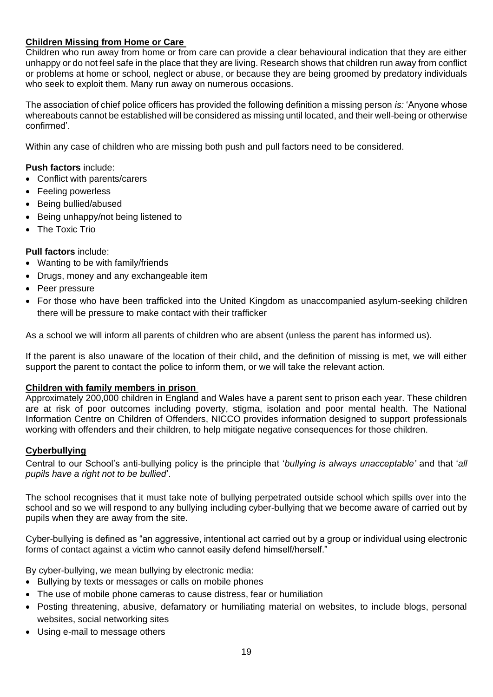# **Children Missing from Home or Care**

Children who run away from home or from care can provide a clear behavioural indication that they are either unhappy or do not feel safe in the place that they are living. Research shows that children run away from conflict or problems at home or school, neglect or abuse, or because they are being groomed by predatory individuals who seek to exploit them. Many run away on numerous occasions.

The association of chief police officers has provided the following definition a missing person *is:* 'Anyone whose whereabouts cannot be established will be considered as missing until located, and their well-being or otherwise confirmed'.

Within any case of children who are missing both push and pull factors need to be considered.

#### **Push factors** include:

- Conflict with parents/carers
- Feeling powerless
- Being bullied/abused
- Being unhappy/not being listened to
- The Toxic Trio

#### **Pull factors** include:

- Wanting to be with family/friends
- Drugs, money and any exchangeable item
- Peer pressure
- For those who have been trafficked into the United Kingdom as unaccompanied asylum-seeking children there will be pressure to make contact with their trafficker

As a school we will inform all parents of children who are absent (unless the parent has informed us).

If the parent is also unaware of the location of their child, and the definition of missing is met, we will either support the parent to contact the police to inform them, or we will take the relevant action.

#### **Children with family members in prison**

Approximately 200,000 children in England and Wales have a parent sent to prison each year. These children are at risk of poor outcomes including poverty, stigma, isolation and poor mental health. The National Information Centre on Children of Offenders, NICCO provides information designed to support professionals working with offenders and their children, to help mitigate negative consequences for those children.

#### **Cyberbullying**

Central to our School's anti-bullying policy is the principle that '*bullying is always unacceptable'* and that '*all pupils have a right not to be bullied*'.

The school recognises that it must take note of bullying perpetrated outside school which spills over into the school and so we will respond to any bullying including cyber-bullying that we become aware of carried out by pupils when they are away from the site.

Cyber-bullying is defined as "an aggressive, intentional act carried out by a group or individual using electronic forms of contact against a victim who cannot easily defend himself/herself."

By cyber-bullying, we mean bullying by electronic media:

- Bullying by texts or messages or calls on mobile phones
- The use of mobile phone cameras to cause distress, fear or humiliation
- Posting threatening, abusive, defamatory or humiliating material on websites, to include blogs, personal websites, social networking sites
- Using e-mail to message others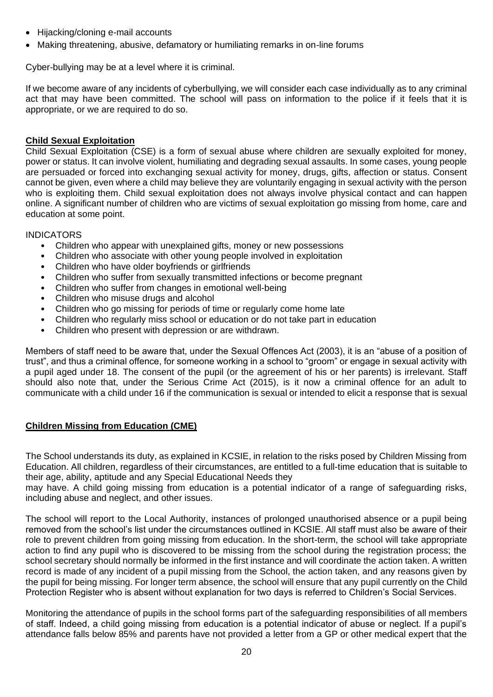- Hijacking/cloning e-mail accounts
- Making threatening, abusive, defamatory or humiliating remarks in on-line forums

Cyber-bullying may be at a level where it is criminal.

If we become aware of any incidents of cyberbullying, we will consider each case individually as to any criminal act that may have been committed. The school will pass on information to the police if it feels that it is appropriate, or we are required to do so.

## **Child Sexual Exploitation**

Child Sexual Exploitation (CSE) is a form of sexual abuse where children are sexually exploited for money, power or status. It can involve violent, humiliating and degrading sexual assaults. In some cases, young people are persuaded or forced into exchanging sexual activity for money, drugs, gifts, affection or status. Consent cannot be given, even where a child may believe they are voluntarily engaging in sexual activity with the person who is exploiting them. Child sexual exploitation does not always involve physical contact and can happen online. A significant number of children who are victims of sexual exploitation go missing from home, care and education at some point.

#### INDICATORS

- Children who appear with unexplained gifts, money or new possessions
- Children who associate with other young people involved in exploitation
- Children who have older boyfriends or girlfriends
- Children who suffer from sexually transmitted infections or become pregnant
- Children who suffer from changes in emotional well-being
- Children who misuse drugs and alcohol
- Children who go missing for periods of time or regularly come home late
- Children who regularly miss school or education or do not take part in education
- Children who present with depression or are withdrawn.

Members of staff need to be aware that, under the Sexual Offences Act (2003), it is an "abuse of a position of trust", and thus a criminal offence, for someone working in a school to "groom" or engage in sexual activity with a pupil aged under 18. The consent of the pupil (or the agreement of his or her parents) is irrelevant. Staff should also note that, under the Serious Crime Act (2015), is it now a criminal offence for an adult to communicate with a child under 16 if the communication is sexual or intended to elicit a response that is sexual

# **Children Missing from Education (CME)**

The School understands its duty, as explained in KCSIE, in relation to the risks posed by Children Missing from Education. All children, regardless of their circumstances, are entitled to a full-time education that is suitable to their age, ability, aptitude and any Special Educational Needs they

may have. A child going missing from education is a potential indicator of a range of safeguarding risks, including abuse and neglect, and other issues.

The school will report to the Local Authority, instances of prolonged unauthorised absence or a pupil being removed from the school's list under the circumstances outlined in KCSIE. All staff must also be aware of their role to prevent children from going missing from education. In the short-term, the school will take appropriate action to find any pupil who is discovered to be missing from the school during the registration process; the school secretary should normally be informed in the first instance and will coordinate the action taken. A written record is made of any incident of a pupil missing from the School, the action taken, and any reasons given by the pupil for being missing. For longer term absence, the school will ensure that any pupil currently on the Child Protection Register who is absent without explanation for two days is referred to Children's Social Services.

Monitoring the attendance of pupils in the school forms part of the safeguarding responsibilities of all members of staff. Indeed, a child going missing from education is a potential indicator of abuse or neglect. If a pupil's attendance falls below 85% and parents have not provided a letter from a GP or other medical expert that the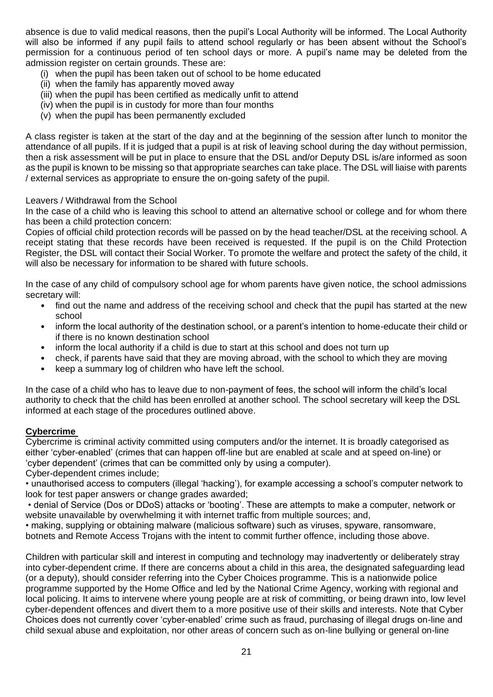absence is due to valid medical reasons, then the pupil's Local Authority will be informed. The Local Authority will also be informed if any pupil fails to attend school regularly or has been absent without the School's permission for a continuous period of ten school days or more. A pupil's name may be deleted from the admission register on certain grounds. These are:

- (i) when the pupil has been taken out of school to be home educated
- (ii) when the family has apparently moved away
- (iii) when the pupil has been certified as medically unfit to attend
- (iv) when the pupil is in custody for more than four months
- (v) when the pupil has been permanently excluded

A class register is taken at the start of the day and at the beginning of the session after lunch to monitor the attendance of all pupils. If it is judged that a pupil is at risk of leaving school during the day without permission, then a risk assessment will be put in place to ensure that the DSL and/or Deputy DSL is/are informed as soon as the pupil is known to be missing so that appropriate searches can take place. The DSL will liaise with parents / external services as appropriate to ensure the on-going safety of the pupil.

#### Leavers / Withdrawal from the School

In the case of a child who is leaving this school to attend an alternative school or college and for whom there has been a child protection concern:

Copies of official child protection records will be passed on by the head teacher/DSL at the receiving school. A receipt stating that these records have been received is requested. If the pupil is on the Child Protection Register, the DSL will contact their Social Worker. To promote the welfare and protect the safety of the child, it will also be necessary for information to be shared with future schools.

In the case of any child of compulsory school age for whom parents have given notice, the school admissions secretary will:

- find out the name and address of the receiving school and check that the pupil has started at the new school
- inform the local authority of the destination school, or a parent's intention to home-educate their child or if there is no known destination school
- inform the local authority if a child is due to start at this school and does not turn up
- check, if parents have said that they are moving abroad, with the school to which they are moving
- keep a summary log of children who have left the school.

In the case of a child who has to leave due to non-payment of fees, the school will inform the child's local authority to check that the child has been enrolled at another school. The school secretary will keep the DSL informed at each stage of the procedures outlined above.

#### **Cybercrime**

Cybercrime is criminal activity committed using computers and/or the internet. It is broadly categorised as either 'cyber-enabled' (crimes that can happen off-line but are enabled at scale and at speed on-line) or 'cyber dependent' (crimes that can be committed only by using a computer).

Cyber-dependent crimes include;

• unauthorised access to computers (illegal 'hacking'), for example accessing a school's computer network to look for test paper answers or change grades awarded;

• denial of Service (Dos or DDoS) attacks or 'booting'. These are attempts to make a computer, network or website unavailable by overwhelming it with internet traffic from multiple sources; and,

• making, supplying or obtaining malware (malicious software) such as viruses, spyware, ransomware, botnets and Remote Access Trojans with the intent to commit further offence, including those above.

Children with particular skill and interest in computing and technology may inadvertently or deliberately stray into cyber-dependent crime. If there are concerns about a child in this area, the designated safeguarding lead (or a deputy), should consider referring into the Cyber Choices programme. This is a nationwide police programme supported by the Home Office and led by the National Crime Agency, working with regional and local policing. It aims to intervene where young people are at risk of committing, or being drawn into, low level cyber-dependent offences and divert them to a more positive use of their skills and interests. Note that Cyber Choices does not currently cover 'cyber-enabled' crime such as fraud, purchasing of illegal drugs on-line and child sexual abuse and exploitation, nor other areas of concern such as on-line bullying or general on-line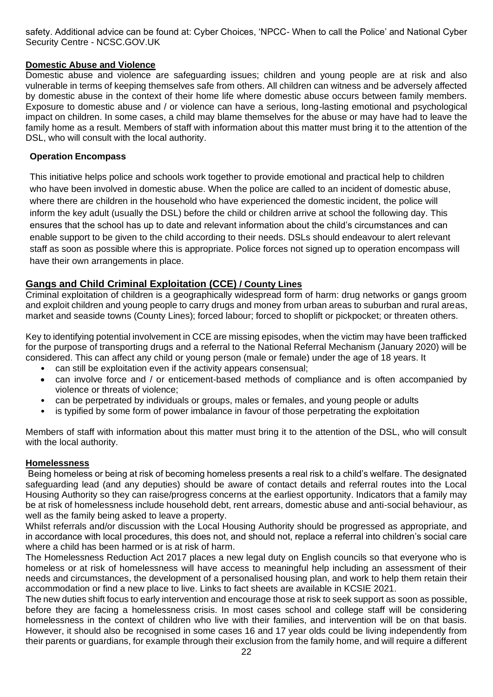safety. Additional advice can be found at: Cyber Choices, 'NPCC- When to call the Police' and National Cyber Security Centre - NCSC.GOV.UK

## **Domestic Abuse and Violence**

Domestic abuse and violence are safeguarding issues; children and young people are at risk and also vulnerable in terms of keeping themselves safe from others. All children can witness and be adversely affected by domestic abuse in the context of their home life where domestic abuse occurs between family members. Exposure to domestic abuse and / or violence can have a serious, long-lasting emotional and psychological impact on children. In some cases, a child may blame themselves for the abuse or may have had to leave the family home as a result. Members of staff with information about this matter must bring it to the attention of the DSL, who will consult with the local authority.

## **Operation Encompass**

This initiative helps police and schools work together to provide emotional and practical help to children who have been involved in domestic abuse. When the police are called to an incident of domestic abuse, where there are children in the household who have experienced the domestic incident, the police will inform the key adult (usually the DSL) before the child or children arrive at school the following day. This ensures that the school has up to date and relevant information about the child's circumstances and can enable support to be given to the child according to their needs. DSLs should endeavour to alert relevant staff as soon as possible where this is appropriate. Police forces not signed up to operation encompass will have their own arrangements in place.

# **Gangs and Child Criminal Exploitation (CCE) / County Lines**

Criminal exploitation of children is a geographically widespread form of harm: drug networks or gangs groom and exploit children and young people to carry drugs and money from urban areas to suburban and rural areas, market and seaside towns (County Lines); forced labour; forced to shoplift or pickpocket; or threaten others.

Key to identifying potential involvement in CCE are missing episodes, when the victim may have been trafficked for the purpose of transporting drugs and a referral to the National Referral Mechanism (January 2020) will be considered. This can affect any child or young person (male or female) under the age of 18 years. It

- can still be exploitation even if the activity appears consensual;
- can involve force and / or enticement-based methods of compliance and is often accompanied by violence or threats of violence;
- can be perpetrated by individuals or groups, males or females, and young people or adults
- is typified by some form of power imbalance in favour of those perpetrating the exploitation

Members of staff with information about this matter must bring it to the attention of the DSL, who will consult with the local authority.

#### **Homelessness**

Being homeless or being at risk of becoming homeless presents a real risk to a child's welfare. The designated safeguarding lead (and any deputies) should be aware of contact details and referral routes into the Local Housing Authority so they can raise/progress concerns at the earliest opportunity. Indicators that a family may be at risk of homelessness include household debt, rent arrears, domestic abuse and anti-social behaviour, as well as the family being asked to leave a property.

Whilst referrals and/or discussion with the Local Housing Authority should be progressed as appropriate, and in accordance with local procedures, this does not, and should not, replace a referral into children's social care where a child has been harmed or is at risk of harm.

The Homelessness Reduction Act 2017 places a new legal duty on English councils so that everyone who is homeless or at risk of homelessness will have access to meaningful help including an assessment of their needs and circumstances, the development of a personalised housing plan, and work to help them retain their accommodation or find a new place to live. Links to fact sheets are available in KCSIE 2021.

The new duties shift focus to early intervention and encourage those at risk to seek support as soon as possible, before they are facing a homelessness crisis. In most cases school and college staff will be considering homelessness in the context of children who live with their families, and intervention will be on that basis. However, it should also be recognised in some cases 16 and 17 year olds could be living independently from their parents or guardians, for example through their exclusion from the family home, and will require a different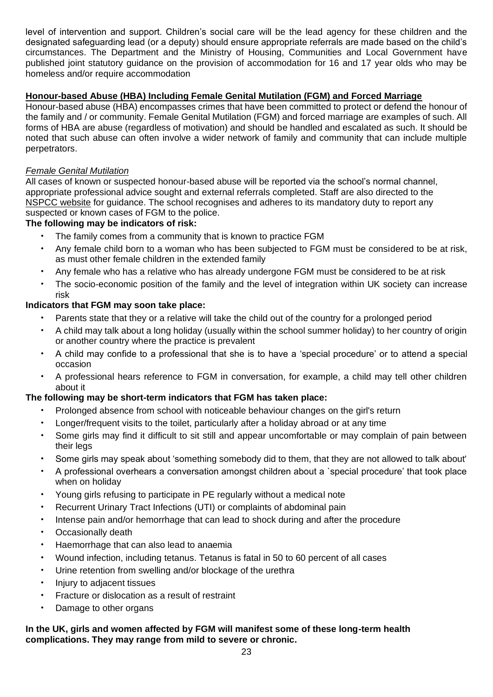level of intervention and support. Children's social care will be the lead agency for these children and the designated safeguarding lead (or a deputy) should ensure appropriate referrals are made based on the child's circumstances. The Department and the Ministry of Housing, Communities and Local Government have published joint statutory guidance on the provision of accommodation for 16 and 17 year olds who may be homeless and/or require accommodation

## **Honour-based Abuse (HBA) Including Female Genital Mutilation (FGM) and Forced Marriage**

Honour-based abuse (HBA) encompasses crimes that have been committed to protect or defend the honour of the family and / or community. Female Genital Mutilation (FGM) and forced marriage are examples of such. All forms of HBA are abuse (regardless of motivation) and should be handled and escalated as such. It should be noted that such abuse can often involve a wider network of family and community that can include multiple perpetrators.

## *Female Genital Mutilation*

All cases of known or suspected honour-based abuse will be reported via the school's normal channel, appropriate professional advice sought and external referrals completed. Staff are also directed to the [NSPCC website](https://www.nspcc.org.uk/) for guidance. The school recognises and adheres to its mandatory duty to report any suspected or known cases of FGM to the police.

## **The following may be indicators of risk:**

- The family comes from a community that is known to practice FGM
- Any female child born to a woman who has been subjected to FGM must be considered to be at risk, as must other female children in the extended family
- Any female who has a relative who has already undergone FGM must be considered to be at risk
- The socio-economic position of the family and the level of integration within UK society can increase risk

## **Indicators that FGM may soon take place:**

- Parents state that they or a relative will take the child out of the country for a prolonged period
- A child may talk about a long holiday (usually within the school summer holiday) to her country of origin or another country where the practice is prevalent
- A child may confide to a professional that she is to have a 'special procedure' or to attend a special occasion
- A professional hears reference to FGM in conversation, for example, a child may tell other children about it

# **The following may be short-term indicators that FGM has taken place:**

- Prolonged absence from school with noticeable behaviour changes on the girl's return
- Longer/frequent visits to the toilet, particularly after a holiday abroad or at any time
- Some girls may find it difficult to sit still and appear uncomfortable or may complain of pain between their legs
- Some girls may speak about 'something somebody did to them, that they are not allowed to talk about'
- A professional overhears a conversation amongst children about a `special procedure' that took place when on holiday
- Young girls refusing to participate in PE regularly without a medical note
- Recurrent Urinary Tract Infections (UTI) or complaints of abdominal pain
- Intense pain and/or hemorrhage that can lead to shock during and after the procedure
- Occasionally death
- Haemorrhage that can also lead to anaemia
- Wound infection, including tetanus. Tetanus is fatal in 50 to 60 percent of all cases
- Urine retention from swelling and/or blockage of the urethra
- Injury to adjacent tissues
- Fracture or dislocation as a result of restraint
- Damage to other organs

#### **In the UK, girls and women affected by FGM will manifest some of these long-term health complications. They may range from mild to severe or chronic.**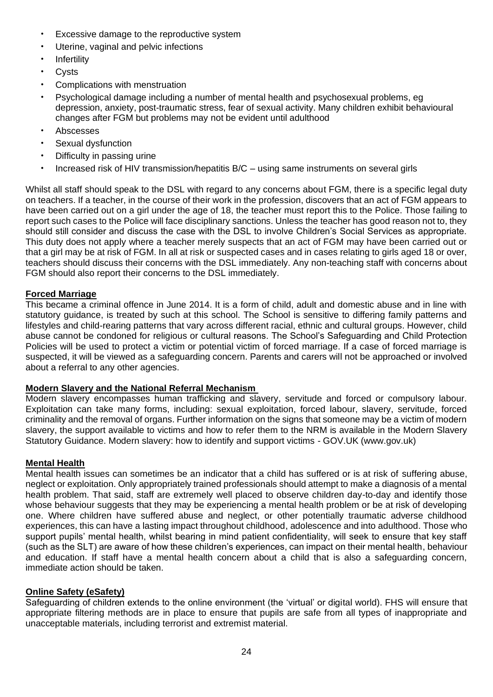- Excessive damage to the reproductive system
- Uterine, vaginal and pelvic infections
- **Infertility**
- Cysts
- Complications with menstruation
- Psychological damage including a number of mental health and psychosexual problems, eg depression, anxiety, post-traumatic stress, fear of sexual activity. Many children exhibit behavioural changes after FGM but problems may not be evident until adulthood
- Abscesses
- Sexual dysfunction
- Difficulty in passing urine
- Increased risk of HIV transmission/hepatitis B/C using same instruments on several girls

Whilst all staff should speak to the DSL with regard to any concerns about FGM, there is a specific legal duty on teachers. If a teacher, in the course of their work in the profession, discovers that an act of FGM appears to have been carried out on a girl under the age of 18, the teacher must report this to the Police. Those failing to report such cases to the Police will face disciplinary sanctions. Unless the teacher has good reason not to, they should still consider and discuss the case with the DSL to involve Children's Social Services as appropriate. This duty does not apply where a teacher merely suspects that an act of FGM may have been carried out or that a girl may be at risk of FGM. In all at risk or suspected cases and in cases relating to girls aged 18 or over, teachers should discuss their concerns with the DSL immediately. Any non-teaching staff with concerns about FGM should also report their concerns to the DSL immediately.

#### **Forced Marriage**

This became a criminal offence in June 2014. It is a form of child, adult and domestic abuse and in line with statutory guidance, is treated by such at this school. The School is sensitive to differing family patterns and lifestyles and child-rearing patterns that vary across different racial, ethnic and cultural groups. However, child abuse cannot be condoned for religious or cultural reasons. The School's Safeguarding and Child Protection Policies will be used to protect a victim or potential victim of forced marriage. If a case of forced marriage is suspected, it will be viewed as a safeguarding concern. Parents and carers will not be approached or involved about a referral to any other agencies.

#### **Modern Slavery and the National Referral Mechanism**

Modern slavery encompasses human trafficking and slavery, servitude and forced or compulsory labour. Exploitation can take many forms, including: sexual exploitation, forced labour, slavery, servitude, forced criminality and the removal of organs. Further information on the signs that someone may be a victim of modern slavery, the support available to victims and how to refer them to the NRM is available in the Modern Slavery Statutory Guidance. Modern slavery: how to identify and support victims - GOV.UK (www.gov.uk)

#### **Mental Health**

Mental health issues can sometimes be an indicator that a child has suffered or is at risk of suffering abuse, neglect or exploitation. Only appropriately trained professionals should attempt to make a diagnosis of a mental health problem. That said, staff are extremely well placed to observe children day-to-day and identify those whose behaviour suggests that they may be experiencing a mental health problem or be at risk of developing one. Where children have suffered abuse and neglect, or other potentially traumatic adverse childhood experiences, this can have a lasting impact throughout childhood, adolescence and into adulthood. Those who support pupils' mental health, whilst bearing in mind patient confidentiality, will seek to ensure that key staff (such as the SLT) are aware of how these children's experiences, can impact on their mental health, behaviour and education. If staff have a mental health concern about a child that is also a safeguarding concern, immediate action should be taken.

#### **Online Safety (eSafety)**

Safeguarding of children extends to the online environment (the 'virtual' or digital world). FHS will ensure that appropriate filtering methods are in place to ensure that pupils are safe from all types of inappropriate and unacceptable materials, including terrorist and extremist material.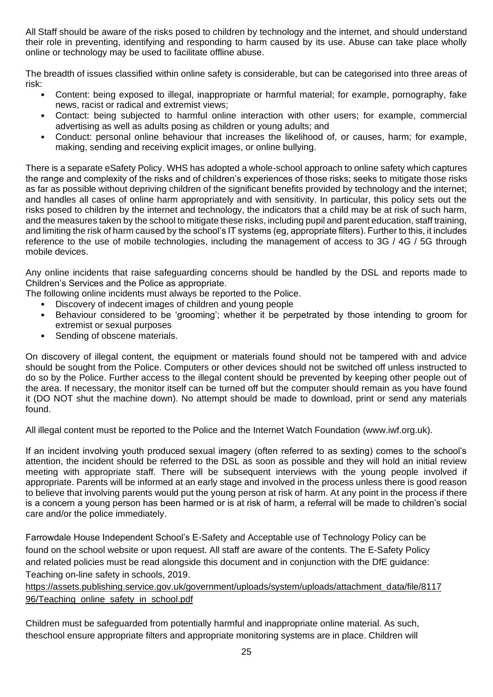All Staff should be aware of the risks posed to children by technology and the internet, and should understand their role in preventing, identifying and responding to harm caused by its use. Abuse can take place wholly online or technology may be used to facilitate offline abuse.

The breadth of issues classified within online safety is considerable, but can be categorised into three areas of risk:

- Content: being exposed to illegal, inappropriate or harmful material; for example, pornography, fake news, racist or radical and extremist views;
- Contact: being subjected to harmful online interaction with other users; for example, commercial advertising as well as adults posing as children or young adults; and
- Conduct: personal online behaviour that increases the likelihood of, or causes, harm; for example, making, sending and receiving explicit images, or online bullying.

There is a separate eSafety Policy. WHS has adopted a whole-school approach to online safety which captures the range and complexity of the risks and of children's experiences of those risks; seeks to mitigate those risks as far as possible without depriving children of the significant benefits provided by technology and the internet; and handles all cases of online harm appropriately and with sensitivity. In particular, this policy sets out the risks posed to children by the internet and technology, the indicators that a child may be at risk of such harm, and the measures taken by the school to mitigate these risks, including pupil and parent education, staff training, and limiting the risk of harm caused by the school's IT systems (eg, appropriate filters). Further to this, it includes reference to the use of mobile technologies, including the management of access to 3G / 4G / 5G through mobile devices.

Any online incidents that raise safeguarding concerns should be handled by the DSL and reports made to Children's Services and the Police as appropriate.

The following online incidents must always be reported to the Police.

- Discovery of indecent images of children and young people
- Behaviour considered to be 'grooming'; whether it be perpetrated by those intending to groom for extremist or sexual purposes
- Sending of obscene materials.

On discovery of illegal content, the equipment or materials found should not be tampered with and advice should be sought from the Police. Computers or other devices should not be switched off unless instructed to do so by the Police. Further access to the illegal content should be prevented by keeping other people out of the area. If necessary, the monitor itself can be turned off but the computer should remain as you have found it (DO NOT shut the machine down). No attempt should be made to download, print or send any materials found.

All illegal content must be reported to the Police and the Internet Watch Foundation (www.iwf.org.uk).

If an incident involving youth produced sexual imagery (often referred to as sexting) comes to the school's attention, the incident should be referred to the DSL as soon as possible and they will hold an initial review meeting with appropriate staff. There will be subsequent interviews with the young people involved if appropriate. Parents will be informed at an early stage and involved in the process unless there is good reason to believe that involving parents would put the young person at risk of harm. At any point in the process if there is a concern a young person has been harmed or is at risk of harm, a referral will be made to children's social care and/or the police immediately.

Farrowdale House Independent School's E-Safety and Acceptable use of Technology Policy can be found on the school website or upon request. All staff are aware of the contents. The E-Safety Policy and related policies must be read alongside this document and in conjunction with the DfE guidance: Teaching on-line safety in schools, 2019.

# [https://assets.publishing.service.gov.uk/government/uploads/system/uploads/attachment\\_data/file/8117](https://assets.publishing.service.gov.uk/government/uploads/system/uploads/attachment_data/file/811796/Teaching_online_safety_in_school.pdf) [96/Teaching\\_online\\_safety\\_in\\_school.pdf](https://assets.publishing.service.gov.uk/government/uploads/system/uploads/attachment_data/file/811796/Teaching_online_safety_in_school.pdf)

Children must be safeguarded from potentially harmful and inappropriate online material. As such, theschool ensure appropriate filters and appropriate monitoring systems are in place. Children will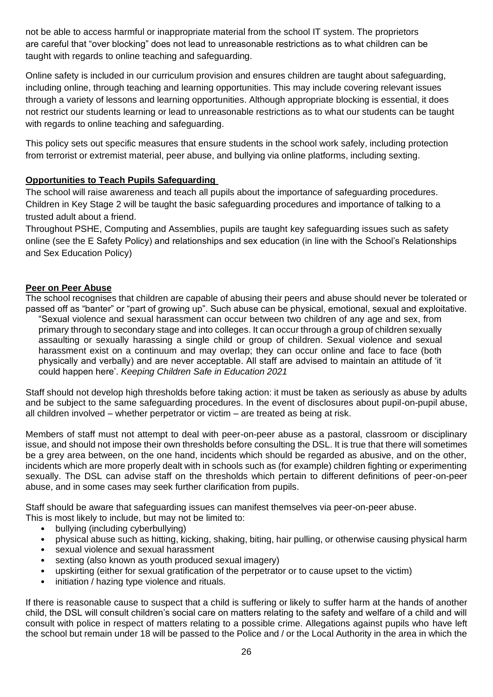not be able to access harmful or inappropriate material from the school IT system. The proprietors are careful that "over blocking" does not lead to unreasonable restrictions as to what children can be taught with regards to online teaching and safeguarding.

Online safety is included in our curriculum provision and ensures children are taught about safeguarding, including online, through teaching and learning opportunities. This may include covering relevant issues through a variety of lessons and learning opportunities. Although appropriate blocking is essential, it does not restrict our students learning or lead to unreasonable restrictions as to what our students can be taught with regards to online teaching and safeguarding.

This policy sets out specific measures that ensure students in the school work safely, including protection from terrorist or extremist material, peer abuse, and bullying via online platforms, including sexting.

# **Opportunities to Teach Pupils Safeguarding**

The school will raise awareness and teach all pupils about the importance of safeguarding procedures. Children in Key Stage 2 will be taught the basic safeguarding procedures and importance of talking to a trusted adult about a friend.

Throughout PSHE, Computing and Assemblies, pupils are taught key safeguarding issues such as safety online (see the E Safety Policy) and relationships and sex education (in line with the School's Relationships and Sex Education Policy)

## **Peer on Peer Abuse**

The school recognises that children are capable of abusing their peers and abuse should never be tolerated or passed off as "banter" or "part of growing up". Such abuse can be physical, emotional, sexual and exploitative. "Sexual violence and sexual harassment can occur between two children of any age and sex, from primary through to secondary stage and into colleges. It can occur through a group of children sexually assaulting or sexually harassing a single child or group of children. Sexual violence and sexual harassment exist on a continuum and may overlap; they can occur online and face to face (both physically and verbally) and are never acceptable. All staff are advised to maintain an attitude of 'it could happen here'. *Keeping Children Safe in Education 2021*

Staff should not develop high thresholds before taking action: it must be taken as seriously as abuse by adults and be subject to the same safeguarding procedures. In the event of disclosures about pupil-on-pupil abuse, all children involved – whether perpetrator or victim – are treated as being at risk.

Members of staff must not attempt to deal with peer-on-peer abuse as a pastoral, classroom or disciplinary issue, and should not impose their own thresholds before consulting the DSL. It is true that there will sometimes be a grey area between, on the one hand, incidents which should be regarded as abusive, and on the other, incidents which are more properly dealt with in schools such as (for example) children fighting or experimenting sexually. The DSL can advise staff on the thresholds which pertain to different definitions of peer-on-peer abuse, and in some cases may seek further clarification from pupils.

Staff should be aware that safeguarding issues can manifest themselves via peer-on-peer abuse.

This is most likely to include, but may not be limited to:

- bullying (including cyberbullying)
- physical abuse such as hitting, kicking, shaking, biting, hair pulling, or otherwise causing physical harm
- sexual violence and sexual harassment
- sexting (also known as youth produced sexual imagery)
- upskirting (either for sexual gratification of the perpetrator or to cause upset to the victim)
- initiation / hazing type violence and rituals.

If there is reasonable cause to suspect that a child is suffering or likely to suffer harm at the hands of another child, the DSL will consult children's social care on matters relating to the safety and welfare of a child and will consult with police in respect of matters relating to a possible crime. Allegations against pupils who have left the school but remain under 18 will be passed to the Police and / or the Local Authority in the area in which the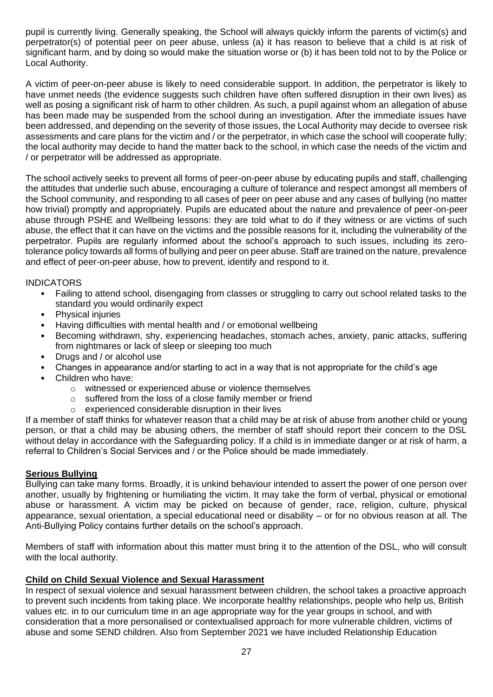pupil is currently living. Generally speaking, the School will always quickly inform the parents of victim(s) and perpetrator(s) of potential peer on peer abuse, unless (a) it has reason to believe that a child is at risk of significant harm, and by doing so would make the situation worse or (b) it has been told not to by the Police or Local Authority.

A victim of peer-on-peer abuse is likely to need considerable support. In addition, the perpetrator is likely to have unmet needs (the evidence suggests such children have often suffered disruption in their own lives) as well as posing a significant risk of harm to other children. As such, a pupil against whom an allegation of abuse has been made may be suspended from the school during an investigation. After the immediate issues have been addressed, and depending on the severity of those issues, the Local Authority may decide to oversee risk assessments and care plans for the victim and / or the perpetrator, in which case the school will cooperate fully; the local authority may decide to hand the matter back to the school, in which case the needs of the victim and / or perpetrator will be addressed as appropriate.

The school actively seeks to prevent all forms of peer-on-peer abuse by educating pupils and staff, challenging the attitudes that underlie such abuse, encouraging a culture of tolerance and respect amongst all members of the School community, and responding to all cases of peer on peer abuse and any cases of bullying (no matter how trivial) promptly and appropriately. Pupils are educated about the nature and prevalence of peer-on-peer abuse through PSHE and Wellbeing lessons: they are told what to do if they witness or are victims of such abuse, the effect that it can have on the victims and the possible reasons for it, including the vulnerability of the perpetrator. Pupils are regularly informed about the school's approach to such issues, including its zerotolerance policy towards all forms of bullying and peer on peer abuse. Staff are trained on the nature, prevalence and effect of peer-on-peer abuse, how to prevent, identify and respond to it.

#### **INDICATORS**

- Failing to attend school, disengaging from classes or struggling to carry out school related tasks to the standard you would ordinarily expect
- Physical injuries
- Having difficulties with mental health and / or emotional wellbeing
- Becoming withdrawn, shy, experiencing headaches, stomach aches, anxiety, panic attacks, suffering from nightmares or lack of sleep or sleeping too much
- Drugs and / or alcohol use
- Changes in appearance and/or starting to act in a way that is not appropriate for the child's age
- Children who have:
	- o witnessed or experienced abuse or violence themselves
	- o suffered from the loss of a close family member or friend
	- o experienced considerable disruption in their lives

If a member of staff thinks for whatever reason that a child may be at risk of abuse from another child or young person, or that a child may be abusing others, the member of staff should report their concern to the DSL without delay in accordance with the Safeguarding policy. If a child is in immediate danger or at risk of harm, a referral to Children's Social Services and / or the Police should be made immediately.

#### **Serious Bullying**

Bullying can take many forms. Broadly, it is unkind behaviour intended to assert the power of one person over another, usually by frightening or humiliating the victim. It may take the form of verbal, physical or emotional abuse or harassment. A victim may be picked on because of gender, race, religion, culture, physical appearance, sexual orientation, a special educational need or disability – or for no obvious reason at all. The Anti-Bullying Policy contains further details on the school's approach.

Members of staff with information about this matter must bring it to the attention of the DSL, who will consult with the local authority.

#### **Child on Child Sexual Violence and Sexual Harassment**

In respect of sexual violence and sexual harassment between children, the school takes a proactive approach to prevent such incidents from taking place. We incorporate healthy relationships, people who help us, British values etc. in to our curriculum time in an age appropriate way for the year groups in school, and with consideration that a more personalised or contextualised approach for more vulnerable children, victims of abuse and some SEND children. Also from September 2021 we have included Relationship Education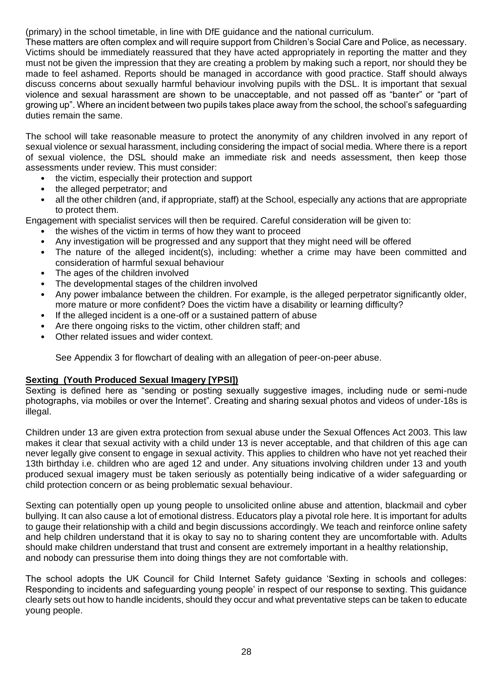(primary) in the school timetable, in line with DfE guidance and the national curriculum.

These matters are often complex and will require support from Children's Social Care and Police, as necessary. Victims should be immediately reassured that they have acted appropriately in reporting the matter and they must not be given the impression that they are creating a problem by making such a report, nor should they be made to feel ashamed. Reports should be managed in accordance with good practice. Staff should always discuss concerns about sexually harmful behaviour involving pupils with the DSL. It is important that sexual violence and sexual harassment are shown to be unacceptable, and not passed off as "banter" or "part of growing up". Where an incident between two pupils takes place away from the school, the school's safeguarding duties remain the same.

The school will take reasonable measure to protect the anonymity of any children involved in any report of sexual violence or sexual harassment, including considering the impact of social media. Where there is a report of sexual violence, the DSL should make an immediate risk and needs assessment, then keep those assessments under review. This must consider:

- the victim, especially their protection and support
- the alleged perpetrator; and
- all the other children (and, if appropriate, staff) at the School, especially any actions that are appropriate to protect them.

Engagement with specialist services will then be required. Careful consideration will be given to:

- the wishes of the victim in terms of how they want to proceed
- Any investigation will be progressed and any support that they might need will be offered
- The nature of the alleged incident(s), including: whether a crime may have been committed and consideration of harmful sexual behaviour
- The ages of the children involved
- The developmental stages of the children involved
- Any power imbalance between the children. For example, is the alleged perpetrator significantly older, more mature or more confident? Does the victim have a disability or learning difficulty?
- If the alleged incident is a one-off or a sustained pattern of abuse
- Are there ongoing risks to the victim, other children staff; and
- Other related issues and wider context.

See Appendix 3 for flowchart of dealing with an allegation of peer-on-peer abuse.

#### **Sexting (Youth Produced Sexual Imagery [YPSI])**

Sexting is defined here as "sending or posting sexually suggestive images, including nude or semi-nude photographs, via mobiles or over the Internet". Creating and sharing sexual photos and videos of under-18s is illegal.

Children under 13 are given extra protection from sexual abuse under the Sexual Offences Act 2003. This law makes it clear that sexual activity with a child under 13 is never acceptable, and that children of this age can never legally give consent to engage in sexual activity. This applies to children who have not yet reached their 13th birthday i.e. children who are aged 12 and under. Any situations involving children under 13 and youth produced sexual imagery must be taken seriously as potentially being indicative of a wider safeguarding or child protection concern or as being problematic sexual behaviour.

Sexting can potentially open up young people to unsolicited online abuse and attention, blackmail and cyber bullying. It can also cause a lot of emotional distress. Educators play a pivotal role here. It is important for adults to gauge their relationship with a child and begin discussions accordingly. We teach and reinforce online safety and help children understand that it is okay to say no to sharing content they are uncomfortable with. Adults should make children understand that trust and consent are extremely important in a healthy relationship, and nobody can pressurise them into doing things they are not comfortable with.

The school adopts the UK Council for Child Internet Safety guidance 'Sexting in schools and colleges: Responding to incidents and safeguarding young people' in respect of our response to sexting. This guidance clearly sets out how to handle incidents, should they occur and what preventative steps can be taken to educate young people.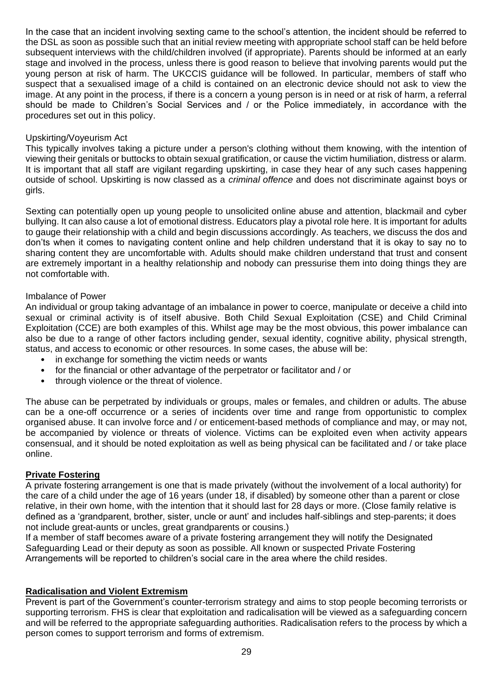In the case that an incident involving sexting came to the school's attention, the incident should be referred to the DSL as soon as possible such that an initial review meeting with appropriate school staff can be held before subsequent interviews with the child/children involved (if appropriate). Parents should be informed at an early stage and involved in the process, unless there is good reason to believe that involving parents would put the young person at risk of harm. The UKCCIS guidance will be followed. In particular, members of staff who suspect that a sexualised image of a child is contained on an electronic device should not ask to view the image. At any point in the process, if there is a concern a young person is in need or at risk of harm, a referral should be made to Children's Social Services and / or the Police immediately, in accordance with the procedures set out in this policy.

#### Upskirting/Voyeurism Act

This typically involves taking a picture under a person's clothing without them knowing, with the intention of viewing their genitals or buttocks to obtain sexual gratification, or cause the victim humiliation, distress or alarm. It is important that all staff are vigilant regarding upskirting, in case they hear of any such cases happening outside of school. Upskirting is now classed as a *criminal offence* and does not discriminate against boys or girls.

Sexting can potentially open up young people to unsolicited online abuse and attention, blackmail and cyber bullying. It can also cause a lot of emotional distress. Educators play a pivotal role here. It is important for adults to gauge their relationship with a child and begin discussions accordingly. As teachers, we discuss the dos and don'ts when it comes to navigating content online and help children understand that it is okay to say no to sharing content they are uncomfortable with. Adults should make children understand that trust and consent are extremely important in a healthy relationship and nobody can pressurise them into doing things they are not comfortable with.

#### Imbalance of Power

An individual or group taking advantage of an imbalance in power to coerce, manipulate or deceive a child into sexual or criminal activity is of itself abusive. Both Child Sexual Exploitation (CSE) and Child Criminal Exploitation (CCE) are both examples of this. Whilst age may be the most obvious, this power imbalance can also be due to a range of other factors including gender, sexual identity, cognitive ability, physical strength, status, and access to economic or other resources. In some cases, the abuse will be:

- in exchange for something the victim needs or wants
- for the financial or other advantage of the perpetrator or facilitator and / or
- through violence or the threat of violence.

The abuse can be perpetrated by individuals or groups, males or females, and children or adults. The abuse can be a one-off occurrence or a series of incidents over time and range from opportunistic to complex organised abuse. It can involve force and / or enticement-based methods of compliance and may, or may not, be accompanied by violence or threats of violence. Victims can be exploited even when activity appears consensual, and it should be noted exploitation as well as being physical can be facilitated and / or take place online.

#### **Private Fostering**

A private fostering arrangement is one that is made privately (without the involvement of a local authority) for the care of a child under the age of 16 years (under 18, if disabled) by someone other than a parent or close relative, in their own home, with the intention that it should last for 28 days or more. (Close family relative is defined as a 'grandparent, brother, sister, uncle or aunt' and includes half-siblings and step-parents; it does not include great-aunts or uncles, great grandparents or cousins.)

If a member of staff becomes aware of a private fostering arrangement they will notify the Designated Safeguarding Lead or their deputy as soon as possible. All known or suspected Private Fostering Arrangements will be reported to children's social care in the area where the child resides.

#### **Radicalisation and Violent Extremism**

Prevent is part of the Government's counter-terrorism strategy and aims to stop people becoming terrorists or supporting terrorism. FHS is clear that exploitation and radicalisation will be viewed as a safeguarding concern and will be referred to the appropriate safeguarding authorities. Radicalisation refers to the process by which a person comes to support terrorism and forms of extremism.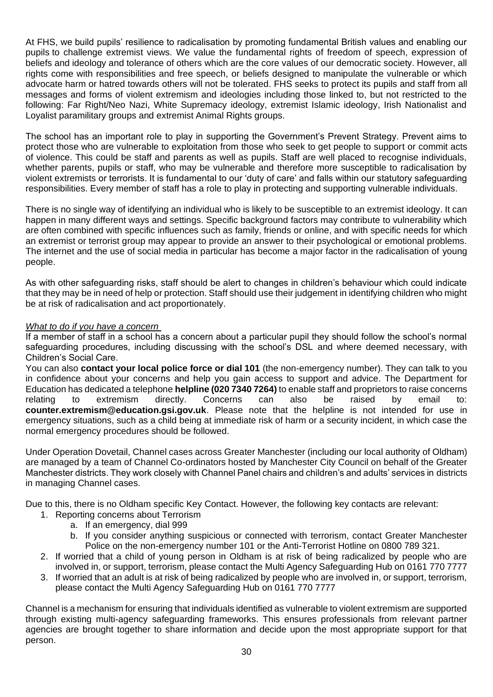At FHS, we build pupils' resilience to radicalisation by promoting fundamental British values and enabling our pupils to challenge extremist views. We value the fundamental rights of freedom of speech, expression of beliefs and ideology and tolerance of others which are the core values of our democratic society. However, all rights come with responsibilities and free speech, or beliefs designed to manipulate the vulnerable or which advocate harm or hatred towards others will not be tolerated. FHS seeks to protect its pupils and staff from all messages and forms of violent extremism and ideologies including those linked to, but not restricted to the following: Far Right/Neo Nazi, White Supremacy ideology, extremist Islamic ideology, Irish Nationalist and Loyalist paramilitary groups and extremist Animal Rights groups.

The school has an important role to play in supporting the Government's Prevent Strategy. Prevent aims to protect those who are vulnerable to exploitation from those who seek to get people to support or commit acts of violence. This could be staff and parents as well as pupils. Staff are well placed to recognise individuals, whether parents, pupils or staff, who may be vulnerable and therefore more susceptible to radicalisation by violent extremists or terrorists. It is fundamental to our 'duty of care' and falls within our statutory safeguarding responsibilities. Every member of staff has a role to play in protecting and supporting vulnerable individuals.

There is no single way of identifying an individual who is likely to be susceptible to an extremist ideology. It can happen in many different ways and settings. Specific background factors may contribute to vulnerability which are often combined with specific influences such as family, friends or online, and with specific needs for which an extremist or terrorist group may appear to provide an answer to their psychological or emotional problems. The internet and the use of social media in particular has become a major factor in the radicalisation of young people.

As with other safeguarding risks, staff should be alert to changes in children's behaviour which could indicate that they may be in need of help or protection. Staff should use their judgement in identifying children who might be at risk of radicalisation and act proportionately.

## *What to do if you have a concern*

If a member of staff in a school has a concern about a particular pupil they should follow the school's normal safeguarding procedures, including discussing with the school's DSL and where deemed necessary, with Children's Social Care.

You can also **contact your local police force or dial 101** (the non-emergency number). They can talk to you in confidence about your concerns and help you gain access to support and advice. The Department for Education has dedicated a telephone **helpline (020 7340 7264)** to enable staff and proprietors to raise concerns relating to extremism directly. Concerns can also be raised by email to: **counter.extremism@education.gsi.gov.uk**. Please note that the helpline is not intended for use in emergency situations, such as a child being at immediate risk of harm or a security incident, in which case the normal emergency procedures should be followed.

Under Operation Dovetail, Channel cases across Greater Manchester (including our local authority of Oldham) are managed by a team of Channel Co-ordinators hosted by Manchester City Council on behalf of the Greater Manchester districts. They work closely with Channel Panel chairs and children's and adults' services in districts in managing Channel cases.

Due to this, there is no Oldham specific Key Contact. However, the following key contacts are relevant:

- 1. Reporting concerns about Terrorism
	- a. If an emergency, dial 999
	- b. If you consider anything suspicious or connected with terrorism, contact Greater Manchester Police on the non-emergency number 101 or the Anti-Terrorist Hotline on 0800 789 321.
- 2. If worried that a child of young person in Oldham is at risk of being radicalized by people who are involved in, or support, terrorism, please contact the Multi Agency Safeguarding Hub on 0161 770 7777
- 3. If worried that an adult is at risk of being radicalized by people who are involved in, or support, terrorism, please contact the Multi Agency Safeguarding Hub on 0161 770 7777

Channel is a mechanism for ensuring that individuals identified as vulnerable to violent extremism are supported through existing multi-agency safeguarding frameworks. This ensures professionals from relevant partner agencies are brought together to share information and decide upon the most appropriate support for that person.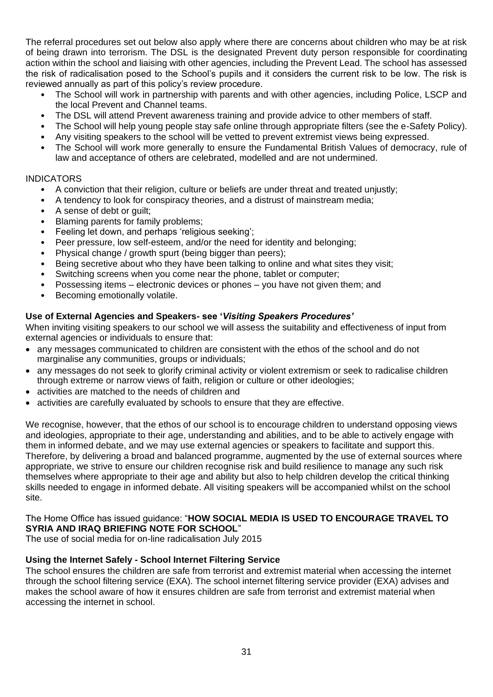The referral procedures set out below also apply where there are concerns about children who may be at risk of being drawn into terrorism. The DSL is the designated Prevent duty person responsible for coordinating action within the school and liaising with other agencies, including the Prevent Lead. The school has assessed the risk of radicalisation posed to the School's pupils and it considers the current risk to be low. The risk is reviewed annually as part of this policy's review procedure.

- The School will work in partnership with parents and with other agencies, including Police, LSCP and the local Prevent and Channel teams.
- The DSL will attend Prevent awareness training and provide advice to other members of staff.
- The School will help young people stay safe online through appropriate filters (see the e-Safety Policy).
- Any visiting speakers to the school will be vetted to prevent extremist views being expressed.
- The School will work more generally to ensure the Fundamental British Values of democracy, rule of law and acceptance of others are celebrated, modelled and are not undermined.

#### INDICATORS

- A conviction that their religion, culture or beliefs are under threat and treated unjustly;
- A tendency to look for conspiracy theories, and a distrust of mainstream media;
- A sense of debt or guilt;
- Blaming parents for family problems;
- Feeling let down, and perhaps 'religious seeking';
- Peer pressure, low self-esteem, and/or the need for identity and belonging;
- Physical change / growth spurt (being bigger than peers);
- Being secretive about who they have been talking to online and what sites they visit;
- Switching screens when you come near the phone, tablet or computer;
- Possessing items electronic devices or phones you have not given them; and
- Becoming emotionally volatile.

## **Use of External Agencies and Speakers- see '***Visiting Speakers Procedures'*

When inviting visiting speakers to our school we will assess the suitability and effectiveness of input from external agencies or individuals to ensure that:

- any messages communicated to children are consistent with the ethos of the school and do not marginalise any communities, groups or individuals;
- any messages do not seek to glorify criminal activity or violent extremism or seek to radicalise children through extreme or narrow views of faith, religion or culture or other ideologies;
- activities are matched to the needs of children and
- activities are carefully evaluated by schools to ensure that they are effective.

We recognise, however, that the ethos of our school is to encourage children to understand opposing views and ideologies, appropriate to their age, understanding and abilities, and to be able to actively engage with them in informed debate, and we may use external agencies or speakers to facilitate and support this. Therefore, by delivering a broad and balanced programme, augmented by the use of external sources where appropriate, we strive to ensure our children recognise risk and build resilience to manage any such risk themselves where appropriate to their age and ability but also to help children develop the critical thinking skills needed to engage in informed debate. All visiting speakers will be accompanied whilst on the school site.

## The Home Office has issued guidance: "**HOW SOCIAL MEDIA IS USED TO ENCOURAGE TRAVEL TO SYRIA AND IRAQ BRIEFING NOTE FOR SCHOOL**"

The use of social media for on-line radicalisation July 2015

#### **Using the Internet Safely - School Internet Filtering Service**

The school ensures the children are safe from terrorist and extremist material when accessing the internet through the school filtering service (EXA). The school internet filtering service provider (EXA) advises and makes the school aware of how it ensures children are safe from terrorist and extremist material when accessing the internet in school.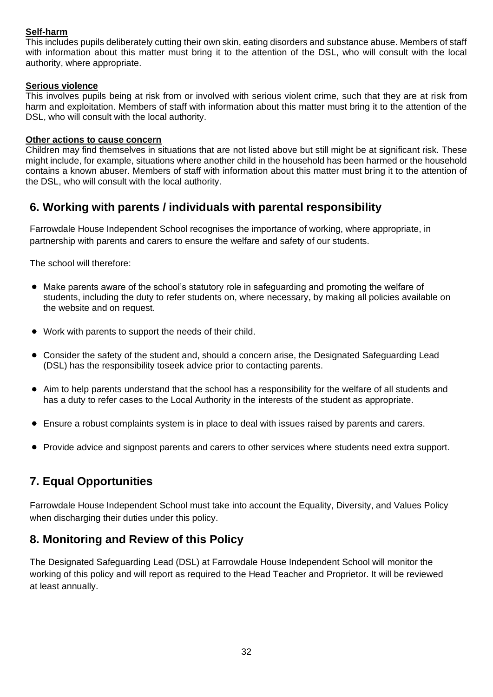## **Self-harm**

This includes pupils deliberately cutting their own skin, eating disorders and substance abuse. Members of staff with information about this matter must bring it to the attention of the DSL, who will consult with the local authority, where appropriate.

#### **Serious violence**

This involves pupils being at risk from or involved with serious violent crime, such that they are at risk from harm and exploitation. Members of staff with information about this matter must bring it to the attention of the DSL, who will consult with the local authority.

#### **Other actions to cause concern**

Children may find themselves in situations that are not listed above but still might be at significant risk. These might include, for example, situations where another child in the household has been harmed or the household contains a known abuser. Members of staff with information about this matter must bring it to the attention of the DSL, who will consult with the local authority.

# **6. Working with parents / individuals with parental responsibility**

Farrowdale House Independent School recognises the importance of working, where appropriate, in partnership with parents and carers to ensure the welfare and safety of our students.

The school will therefore:

- Make parents aware of the school's statutory role in safeguarding and promoting the welfare of students, including the duty to refer students on, where necessary, by making all policies available on the website and on request.
- Work with parents to support the needs of their child.
- Consider the safety of the student and, should a concern arise, the Designated Safeguarding Lead (DSL) has the responsibility toseek advice prior to contacting parents.
- Aim to help parents understand that the school has a responsibility for the welfare of all students and has a duty to refer cases to the Local Authority in the interests of the student as appropriate.
- Ensure a robust complaints system is in place to deal with issues raised by parents and carers.
- Provide advice and signpost parents and carers to other services where students need extra support.

# **7. Equal Opportunities**

Farrowdale House Independent School must take into account the Equality, Diversity, and Values Policy when discharging their duties under this policy.

# **8. Monitoring and Review of this Policy**

The Designated Safeguarding Lead (DSL) at Farrowdale House Independent School will monitor the working of this policy and will report as required to the Head Teacher and Proprietor. It will be reviewed at least annually.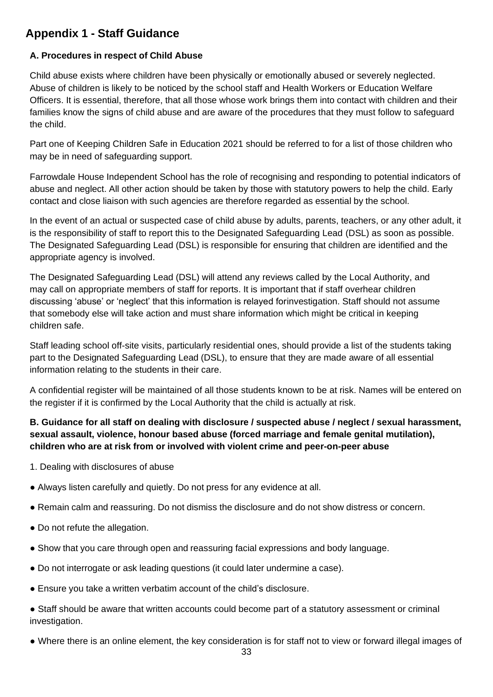# **Appendix 1 - Staff Guidance**

# **A. Procedures in respect of Child Abuse**

Child abuse exists where children have been physically or emotionally abused or severely neglected. Abuse of children is likely to be noticed by the school staff and Health Workers or Education Welfare Officers. It is essential, therefore, that all those whose work brings them into contact with children and their families know the signs of child abuse and are aware of the procedures that they must follow to safeguard the child.

Part one of Keeping Children Safe in Education 2021 should be referred to for a list of those children who may be in need of safeguarding support.

Farrowdale House Independent School has the role of recognising and responding to potential indicators of abuse and neglect. All other action should be taken by those with statutory powers to help the child. Early contact and close liaison with such agencies are therefore regarded as essential by the school.

In the event of an actual or suspected case of child abuse by adults, parents, teachers, or any other adult, it is the responsibility of staff to report this to the Designated Safeguarding Lead (DSL) as soon as possible. The Designated Safeguarding Lead (DSL) is responsible for ensuring that children are identified and the appropriate agency is involved.

The Designated Safeguarding Lead (DSL) will attend any reviews called by the Local Authority, and may call on appropriate members of staff for reports. It is important that if staff overhear children discussing 'abuse' or 'neglect' that this information is relayed forinvestigation. Staff should not assume that somebody else will take action and must share information which might be critical in keeping children safe.

Staff leading school off-site visits, particularly residential ones, should provide a list of the students taking part to the Designated Safeguarding Lead (DSL), to ensure that they are made aware of all essential information relating to the students in their care.

A confidential register will be maintained of all those students known to be at risk. Names will be entered on the register if it is confirmed by the Local Authority that the child is actually at risk.

**B. Guidance for all staff on dealing with disclosure / suspected abuse / neglect / sexual harassment, sexual assault, violence, honour based abuse (forced marriage and female genital mutilation), children who are at risk from or involved with violent crime and peer-on-peer abuse**

- 1. Dealing with disclosures of abuse
- Always listen carefully and quietly. Do not press for any evidence at all.
- Remain calm and reassuring. Do not dismiss the disclosure and do not show distress or concern.
- Do not refute the allegation.
- Show that you care through open and reassuring facial expressions and body language.
- Do not interrogate or ask leading questions (it could later undermine a case).
- Ensure you take a written verbatim account of the child's disclosure.
- Staff should be aware that written accounts could become part of a statutory assessment or criminal investigation.
- Where there is an online element, the key consideration is for staff not to view or forward illegal images of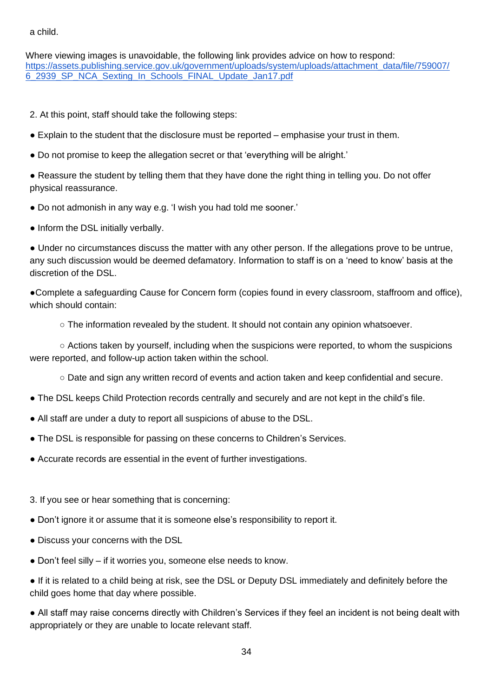a child.

Where viewing images is unavoidable, the following link provides advice on how to respond: [https://assets.publishing.service.gov.uk/government/uploads/system/uploads/attachment\\_data/file/759007/](https://assets.publishing.service.gov.uk/government/uploads/system/uploads/attachment_data/file/759007/6_2939_SP_NCA_Sexting_In_Schools_FINAL_Update_Jan17.pdf) [6\\_2939\\_SP\\_NCA\\_Sexting\\_In\\_Schools\\_FINAL\\_Update\\_Jan17.pdf](https://assets.publishing.service.gov.uk/government/uploads/system/uploads/attachment_data/file/759007/6_2939_SP_NCA_Sexting_In_Schools_FINAL_Update_Jan17.pdf)

2. At this point, staff should take the following steps:

● Explain to the student that the disclosure must be reported – emphasise your trust in them.

● Do not promise to keep the allegation secret or that 'everything will be alright.'

• Reassure the student by telling them that they have done the right thing in telling you. Do not offer physical reassurance.

• Do not admonish in any way e.g. 'I wish you had told me sooner.'

• Inform the DSL initially verbally.

● Under no circumstances discuss the matter with any other person. If the allegations prove to be untrue, any such discussion would be deemed defamatory. Information to staff is on a 'need to know' basis at the discretion of the DSL.

●Complete a safeguarding Cause for Concern form (copies found in every classroom, staffroom and office), which should contain:

○ The information revealed by the student. It should not contain any opinion whatsoever.

 $\circ$  Actions taken by yourself, including when the suspicions were reported, to whom the suspicions were reported, and follow-up action taken within the school.

○ Date and sign any written record of events and action taken and keep confidential and secure.

- The DSL keeps Child Protection records centrally and securely and are not kept in the child's file.
- All staff are under a duty to report all suspicions of abuse to the DSL.
- The DSL is responsible for passing on these concerns to Children's Services.
- Accurate records are essential in the event of further investigations.

3. If you see or hear something that is concerning:

- Don't ignore it or assume that it is someone else's responsibility to report it.
- Discuss your concerns with the DSL
- Don't feel silly if it worries you, someone else needs to know.

● If it is related to a child being at risk, see the DSL or Deputy DSL immediately and definitely before the child goes home that day where possible.

● All staff may raise concerns directly with Children's Services if they feel an incident is not being dealt with appropriately or they are unable to locate relevant staff.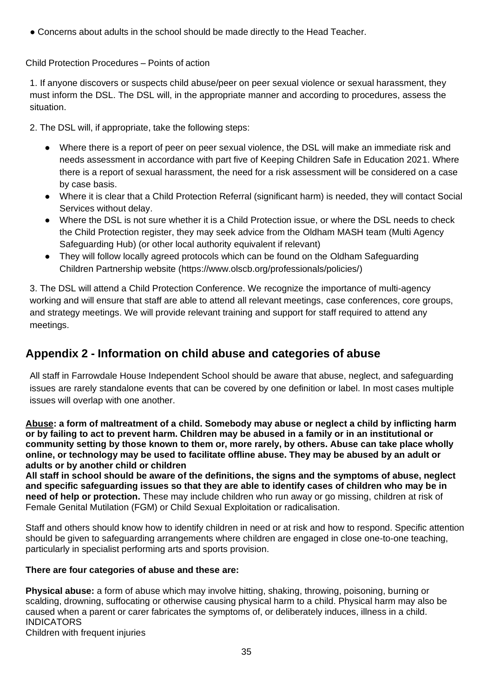● Concerns about adults in the school should be made directly to the Head Teacher.

# Child Protection Procedures – Points of action

1. If anyone discovers or suspects child abuse/peer on peer sexual violence or sexual harassment, they must inform the DSL. The DSL will, in the appropriate manner and according to procedures, assess the situation.

2. The DSL will, if appropriate, take the following steps:

- Where there is a report of peer on peer sexual violence, the DSL will make an immediate risk and needs assessment in accordance with part five of Keeping Children Safe in Education 2021. Where there is a report of sexual harassment, the need for a risk assessment will be considered on a case by case basis.
- Where it is clear that a Child Protection Referral (significant harm) is needed, they will contact Social Services without delay.
- Where the DSL is not sure whether it is a Child Protection issue, or where the DSL needs to check the Child Protection register, they may seek advice from the Oldham MASH team (Multi Agency Safeguarding Hub) (or other local authority equivalent if relevant)
- They will follow locally agreed protocols which can be found on the Oldham Safeguarding Children Partnership website (https://www.olscb.org/professionals/policies/)

3. The DSL will attend a Child Protection Conference. We recognize the importance of multi-agency working and will ensure that staff are able to attend all relevant meetings, case conferences, core groups, and strategy meetings. We will provide relevant training and support for staff required to attend any meetings.

# **Appendix 2 - Information on child abuse and categories of abuse**

All staff in Farrowdale House Independent School should be aware that abuse, neglect, and safeguarding issues are rarely standalone events that can be covered by one definition or label. In most cases multiple issues will overlap with one another.

**Abuse: a form of maltreatment of a child. Somebody may abuse or neglect a child by inflicting harm or by failing to act to prevent harm. Children may be abused in a family or in an institutional or community setting by those known to them or, more rarely, by others. Abuse can take place wholly online, or technology may be used to facilitate offline abuse. They may be abused by an adult or adults or by another child or children**

**All staff in school should be aware of the definitions, the signs and the symptoms of abuse, neglect and specific safeguarding issues so that they are able to identify cases of children who may be in need of help or protection.** These may include children who run away or go missing, children at risk of Female Genital Mutilation (FGM) or Child Sexual Exploitation or radicalisation.

Staff and others should know how to identify children in need or at risk and how to respond. Specific attention should be given to safeguarding arrangements where children are engaged in close one-to-one teaching, particularly in specialist performing arts and sports provision.

# **There are four categories of abuse and these are:**

**Physical abuse:** a form of abuse which may involve hitting, shaking, throwing, poisoning, burning or scalding, drowning, suffocating or otherwise causing physical harm to a child. Physical harm may also be caused when a parent or carer fabricates the symptoms of, or deliberately induces, illness in a child. INDICATORS

Children with frequent injuries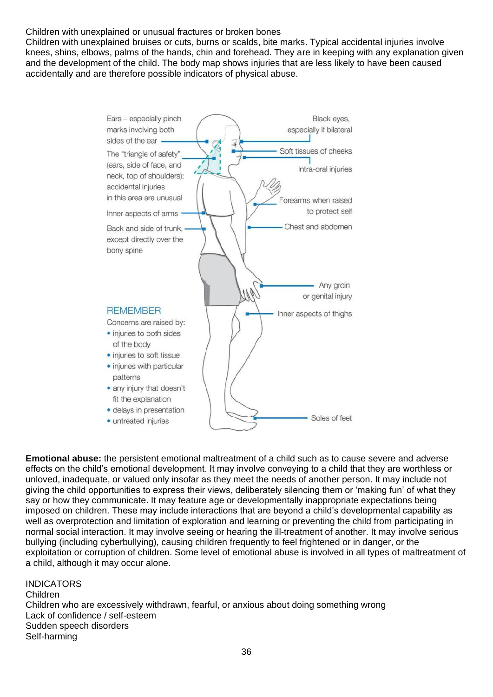#### Children with unexplained or unusual fractures or broken bones

Children with unexplained bruises or cuts, burns or scalds, bite marks. Typical accidental injuries involve knees, shins, elbows, palms of the hands, chin and forehead. They are in keeping with any explanation given and the development of the child. The body map shows injuries that are less likely to have been caused accidentally and are therefore possible indicators of physical abuse.



**Emotional abuse:** the persistent emotional maltreatment of a child such as to cause severe and adverse effects on the child's emotional development. It may involve conveying to a child that they are worthless or unloved, inadequate, or valued only insofar as they meet the needs of another person. It may include not giving the child opportunities to express their views, deliberately silencing them or 'making fun' of what they say or how they communicate. It may feature age or developmentally inappropriate expectations being imposed on children. These may include interactions that are beyond a child's developmental capability as well as overprotection and limitation of exploration and learning or preventing the child from participating in normal social interaction. It may involve seeing or hearing the ill-treatment of another. It may involve serious bullying (including cyberbullying), causing children frequently to feel frightened or in danger, or the exploitation or corruption of children. Some level of emotional abuse is involved in all types of maltreatment of a child, although it may occur alone.

INDICATORS Children Children who are excessively withdrawn, fearful, or anxious about doing something wrong Lack of confidence / self-esteem Sudden speech disorders Self-harming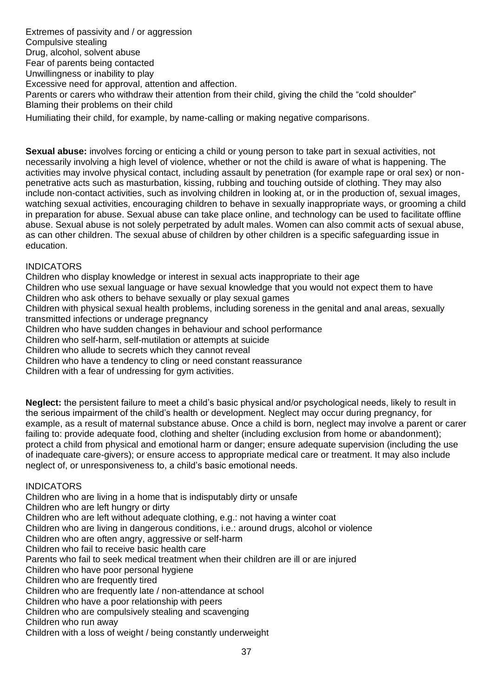Extremes of passivity and / or aggression Compulsive stealing Drug, alcohol, solvent abuse Fear of parents being contacted Unwillingness or inability to play Excessive need for approval, attention and affection. Parents or carers who withdraw their attention from their child, giving the child the "cold shoulder" Blaming their problems on their child

Humiliating their child, for example, by name-calling or making negative comparisons.

**Sexual abuse:** involves forcing or enticing a child or young person to take part in sexual activities, not necessarily involving a high level of violence, whether or not the child is aware of what is happening. The activities may involve physical contact, including assault by penetration (for example rape or oral sex) or nonpenetrative acts such as masturbation, kissing, rubbing and touching outside of clothing. They may also include non-contact activities, such as involving children in looking at, or in the production of, sexual images, watching sexual activities, encouraging children to behave in sexually inappropriate ways, or grooming a child in preparation for abuse. Sexual abuse can take place online, and technology can be used to facilitate offline abuse. Sexual abuse is not solely perpetrated by adult males. Women can also commit acts of sexual abuse, as can other children. The sexual abuse of children by other children is a specific safeguarding issue in education.

# INDICATORS

Children who display knowledge or interest in sexual acts inappropriate to their age

Children who use sexual language or have sexual knowledge that you would not expect them to have

Children who ask others to behave sexually or play sexual games

Children with physical sexual health problems, including soreness in the genital and anal areas, sexually transmitted infections or underage pregnancy

Children who have sudden changes in behaviour and school performance

Children who self-harm, self-mutilation or attempts at suicide

Children who allude to secrets which they cannot reveal

Children who have a tendency to cling or need constant reassurance

Children with a fear of undressing for gym activities.

**Neglect:** the persistent failure to meet a child's basic physical and/or psychological needs, likely to result in the serious impairment of the child's health or development. Neglect may occur during pregnancy, for example, as a result of maternal substance abuse. Once a child is born, neglect may involve a parent or carer failing to: provide adequate food, clothing and shelter (including exclusion from home or abandonment); protect a child from physical and emotional harm or danger; ensure adequate supervision (including the use of inadequate care-givers); or ensure access to appropriate medical care or treatment. It may also include neglect of, or unresponsiveness to, a child's basic emotional needs.

#### INDICATORS

Children who are living in a home that is indisputably dirty or unsafe Children who are left hungry or dirty Children who are left without adequate clothing, e.g.: not having a winter coat Children who are living in dangerous conditions, i.e.: around drugs, alcohol or violence Children who are often angry, aggressive or self-harm Children who fail to receive basic health care Parents who fail to seek medical treatment when their children are ill or are injured Children who have poor personal hygiene Children who are frequently tired Children who are frequently late / non-attendance at school Children who have a poor relationship with peers Children who are compulsively stealing and scavenging Children who run away Children with a loss of weight / being constantly underweight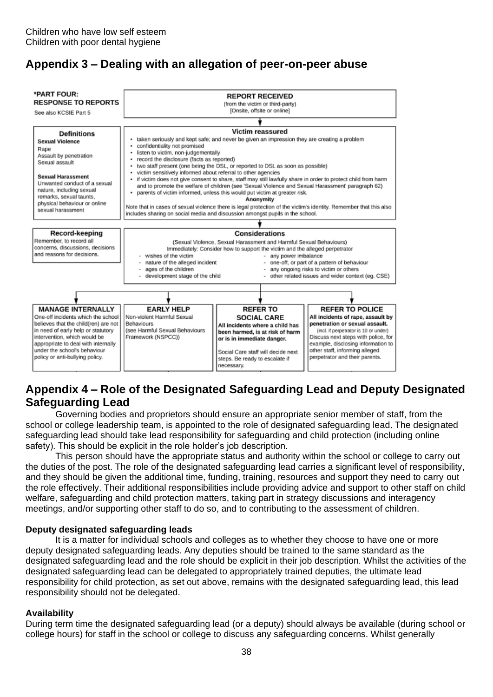# **Appendix 3 – Dealing with an allegation of peer-on-peer abuse**



# **Appendix 4 – Role of the Designated Safeguarding Lead and Deputy Designated Safeguarding Lead**

Governing bodies and proprietors should ensure an appropriate senior member of staff, from the school or college leadership team, is appointed to the role of designated safeguarding lead. The designated safeguarding lead should take lead responsibility for safeguarding and child protection (including online safety). This should be explicit in the role holder's job description.

This person should have the appropriate status and authority within the school or college to carry out the duties of the post. The role of the designated safeguarding lead carries a significant level of responsibility, and they should be given the additional time, funding, training, resources and support they need to carry out the role effectively. Their additional responsibilities include providing advice and support to other staff on child welfare, safeguarding and child protection matters, taking part in strategy discussions and interagency meetings, and/or supporting other staff to do so, and to contributing to the assessment of children.

#### **Deputy designated safeguarding leads**

It is a matter for individual schools and colleges as to whether they choose to have one or more deputy designated safeguarding leads. Any deputies should be trained to the same standard as the designated safeguarding lead and the role should be explicit in their job description. Whilst the activities of the designated safeguarding lead can be delegated to appropriately trained deputies, the ultimate lead responsibility for child protection, as set out above, remains with the designated safeguarding lead, this lead responsibility should not be delegated.

# **Availability**

During term time the designated safeguarding lead (or a deputy) should always be available (during school or college hours) for staff in the school or college to discuss any safeguarding concerns. Whilst generally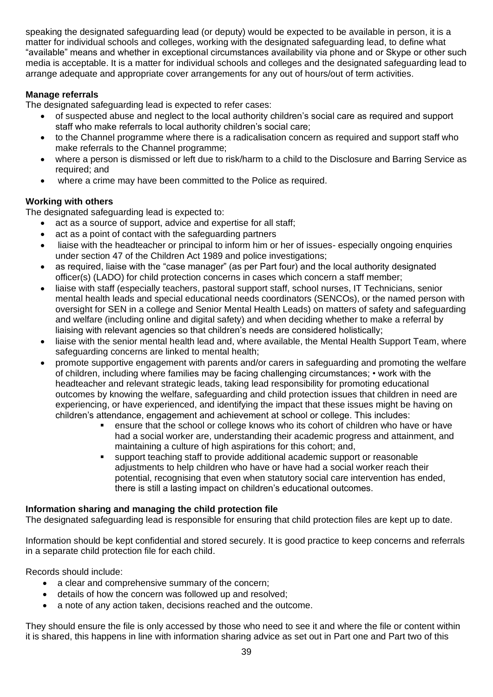speaking the designated safeguarding lead (or deputy) would be expected to be available in person, it is a matter for individual schools and colleges, working with the designated safeguarding lead, to define what "available" means and whether in exceptional circumstances availability via phone and or Skype or other such media is acceptable. It is a matter for individual schools and colleges and the designated safeguarding lead to arrange adequate and appropriate cover arrangements for any out of hours/out of term activities.

## **Manage referrals**

The designated safeguarding lead is expected to refer cases:

- of suspected abuse and neglect to the local authority children's social care as required and support staff who make referrals to local authority children's social care;
- to the Channel programme where there is a radicalisation concern as required and support staff who make referrals to the Channel programme;
- where a person is dismissed or left due to risk/harm to a child to the Disclosure and Barring Service as required; and
- where a crime may have been committed to the Police as required.

## **Working with others**

The designated safeguarding lead is expected to:

- act as a source of support, advice and expertise for all staff;
- act as a point of contact with the safeguarding partners
- liaise with the headteacher or principal to inform him or her of issues- especially ongoing enquiries under section 47 of the Children Act 1989 and police investigations;
- as required, liaise with the "case manager" (as per Part four) and the local authority designated officer(s) (LADO) for child protection concerns in cases which concern a staff member;
- liaise with staff (especially teachers, pastoral support staff, school nurses, IT Technicians, senior mental health leads and special educational needs coordinators (SENCOs), or the named person with oversight for SEN in a college and Senior Mental Health Leads) on matters of safety and safeguarding and welfare (including online and digital safety) and when deciding whether to make a referral by liaising with relevant agencies so that children's needs are considered holistically;
- liaise with the senior mental health lead and, where available, the Mental Health Support Team, where safeguarding concerns are linked to mental health;
- promote supportive engagement with parents and/or carers in safeguarding and promoting the welfare of children, including where families may be facing challenging circumstances; • work with the headteacher and relevant strategic leads, taking lead responsibility for promoting educational outcomes by knowing the welfare, safeguarding and child protection issues that children in need are experiencing, or have experienced, and identifying the impact that these issues might be having on children's attendance, engagement and achievement at school or college. This includes:
	- ensure that the school or college knows who its cohort of children who have or have had a social worker are, understanding their academic progress and attainment, and maintaining a culture of high aspirations for this cohort; and,
	- support teaching staff to provide additional academic support or reasonable adjustments to help children who have or have had a social worker reach their potential, recognising that even when statutory social care intervention has ended, there is still a lasting impact on children's educational outcomes.

#### **Information sharing and managing the child protection file**

The designated safeguarding lead is responsible for ensuring that child protection files are kept up to date.

Information should be kept confidential and stored securely. It is good practice to keep concerns and referrals in a separate child protection file for each child.

Records should include:

- a clear and comprehensive summary of the concern;
- details of how the concern was followed up and resolved;
- a note of any action taken, decisions reached and the outcome.

They should ensure the file is only accessed by those who need to see it and where the file or content within it is shared, this happens in line with information sharing advice as set out in Part one and Part two of this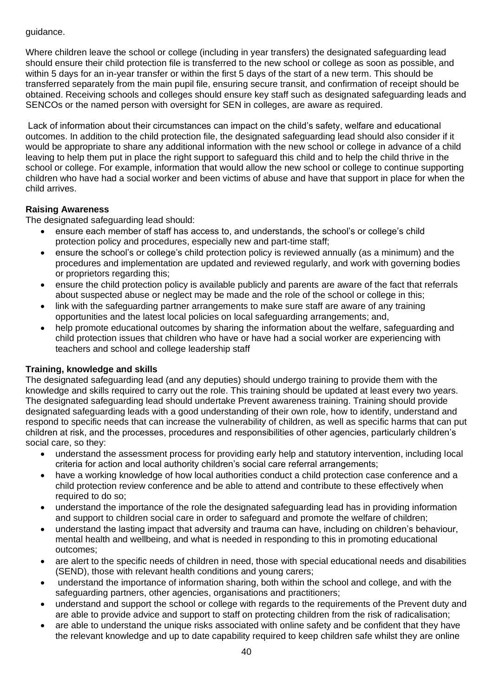guidance.

Where children leave the school or college (including in year transfers) the designated safeguarding lead should ensure their child protection file is transferred to the new school or college as soon as possible, and within 5 days for an in-year transfer or within the first 5 days of the start of a new term. This should be transferred separately from the main pupil file, ensuring secure transit, and confirmation of receipt should be obtained. Receiving schools and colleges should ensure key staff such as designated safeguarding leads and SENCOs or the named person with oversight for SEN in colleges, are aware as required.

Lack of information about their circumstances can impact on the child's safety, welfare and educational outcomes. In addition to the child protection file, the designated safeguarding lead should also consider if it would be appropriate to share any additional information with the new school or college in advance of a child leaving to help them put in place the right support to safeguard this child and to help the child thrive in the school or college. For example, information that would allow the new school or college to continue supporting children who have had a social worker and been victims of abuse and have that support in place for when the child arrives.

# **Raising Awareness**

The designated safeguarding lead should:

- ensure each member of staff has access to, and understands, the school's or college's child protection policy and procedures, especially new and part-time staff;
- ensure the school's or college's child protection policy is reviewed annually (as a minimum) and the procedures and implementation are updated and reviewed regularly, and work with governing bodies or proprietors regarding this;
- ensure the child protection policy is available publicly and parents are aware of the fact that referrals about suspected abuse or neglect may be made and the role of the school or college in this;
- link with the safeguarding partner arrangements to make sure staff are aware of any training opportunities and the latest local policies on local safeguarding arrangements; and,
- help promote educational outcomes by sharing the information about the welfare, safeguarding and child protection issues that children who have or have had a social worker are experiencing with teachers and school and college leadership staff

# **Training, knowledge and skills**

The designated safeguarding lead (and any deputies) should undergo training to provide them with the knowledge and skills required to carry out the role. This training should be updated at least every two years. The designated safeguarding lead should undertake Prevent awareness training. Training should provide designated safeguarding leads with a good understanding of their own role, how to identify, understand and respond to specific needs that can increase the vulnerability of children, as well as specific harms that can put children at risk, and the processes, procedures and responsibilities of other agencies, particularly children's social care, so they:

- understand the assessment process for providing early help and statutory intervention, including local criteria for action and local authority children's social care referral arrangements;
- have a working knowledge of how local authorities conduct a child protection case conference and a child protection review conference and be able to attend and contribute to these effectively when required to do so;
- understand the importance of the role the designated safeguarding lead has in providing information and support to children social care in order to safeguard and promote the welfare of children;
- understand the lasting impact that adversity and trauma can have, including on children's behaviour, mental health and wellbeing, and what is needed in responding to this in promoting educational outcomes;
- are alert to the specific needs of children in need, those with special educational needs and disabilities (SEND), those with relevant health conditions and young carers;
- understand the importance of information sharing, both within the school and college, and with the safeguarding partners, other agencies, organisations and practitioners;
- understand and support the school or college with regards to the requirements of the Prevent duty and are able to provide advice and support to staff on protecting children from the risk of radicalisation;
- are able to understand the unique risks associated with online safety and be confident that they have the relevant knowledge and up to date capability required to keep children safe whilst they are online